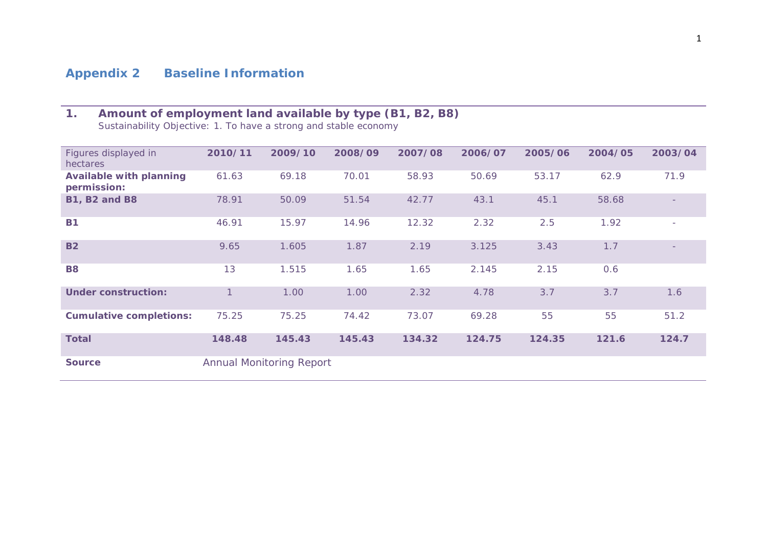# **Appendix 2 Baseline Information**

# **1. Amount of employment land available by type (B1, B2, B8)**

*Sustainability Objective: 1. To have a strong and stable economy*

| Figures displayed in<br>hectares              | 2010/11 | 2009/10                         | 2008/09 | 2007/08 | 2006/07 | 2005/06 | 2004/05 | 2003/04 |
|-----------------------------------------------|---------|---------------------------------|---------|---------|---------|---------|---------|---------|
| <b>Available with planning</b><br>permission: | 61.63   | 69.18                           | 70.01   | 58.93   | 50.69   | 53.17   | 62.9    | 71.9    |
| <b>B1, B2 and B8</b>                          | 78.91   | 50.09                           | 51.54   | 42.77   | 43.1    | 45.1    | 58.68   |         |
| <b>B1</b>                                     | 46.91   | 15.97                           | 14.96   | 12.32   | 2.32    | 2.5     | 1.92    |         |
| <b>B2</b>                                     | 9.65    | 1.605                           | 1.87    | 2.19    | 3.125   | 3.43    | 1.7     |         |
| <b>B8</b>                                     | 13      | 1.515                           | 1.65    | 1.65    | 2.145   | 2.15    | 0.6     |         |
| <b>Under construction:</b>                    | 1       | 1.00                            | 1.00    | 2.32    | 4.78    | 3.7     | 3.7     | 1.6     |
| <b>Cumulative completions:</b>                | 75.25   | 75.25                           | 74.42   | 73.07   | 69.28   | 55      | 55      | 51.2    |
| <b>Total</b>                                  | 148.48  | 145.43                          | 145.43  | 134.32  | 124.75  | 124.35  | 121.6   | 124.7   |
| <b>Source</b>                                 |         | <b>Annual Monitoring Report</b> |         |         |         |         |         |         |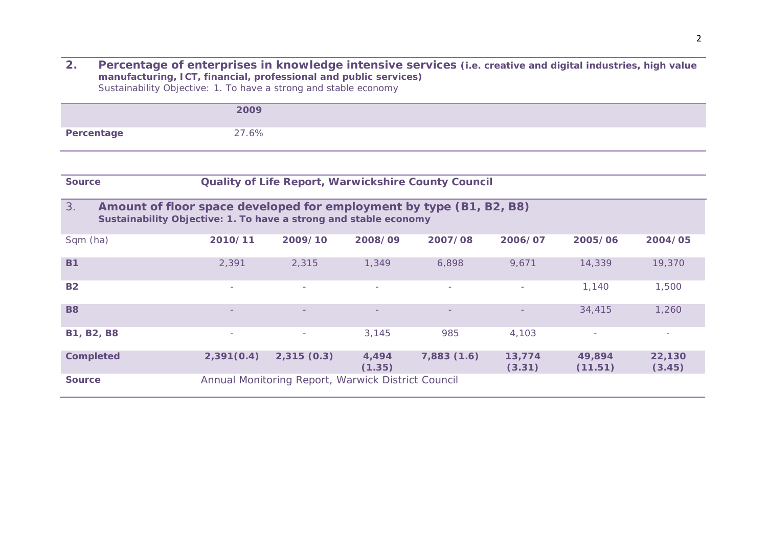**2. Percentage of enterprises in knowledge intensive services (i.e. creative and digital industries, high value manufacturing, ICT, financial, professional and public services)** *Sustainability Objective: 1. To have a strong and stable economy*

|                                                                                                                                               | 2009       |                                                    |                          |                                                     |                  |                          |                  |
|-----------------------------------------------------------------------------------------------------------------------------------------------|------------|----------------------------------------------------|--------------------------|-----------------------------------------------------|------------------|--------------------------|------------------|
| Percentage                                                                                                                                    | 27.6%      |                                                    |                          |                                                     |                  |                          |                  |
|                                                                                                                                               |            |                                                    |                          |                                                     |                  |                          |                  |
| <b>Source</b>                                                                                                                                 |            |                                                    |                          | Quality of Life Report, Warwickshire County Council |                  |                          |                  |
| 3.<br>Amount of floor space developed for employment by type (B1, B2, B8)<br>Sustainability Objective: 1. To have a strong and stable economy |            |                                                    |                          |                                                     |                  |                          |                  |
| Sqm (ha)                                                                                                                                      | 2010/11    | 2009/10                                            | 2008/09                  | 2007/08                                             | 2006/07          | 2005/06                  | 2004/05          |
| <b>B1</b>                                                                                                                                     | 2,391      | 2,315                                              | 1,349                    | 6,898                                               | 9,671            | 14,339                   | 19,370           |
| <b>B2</b>                                                                                                                                     | $\sim$     | $\sim$                                             | $\sim$                   | $\overline{\phantom{a}}$                            | $\sim$           | 1,140                    | 1,500            |
| <b>B8</b>                                                                                                                                     |            |                                                    | $\overline{\phantom{a}}$ | $\qquad \qquad -$                                   |                  | 34,415                   | 1,260            |
| <b>B1, B2, B8</b>                                                                                                                             | ÷          | $\sim$                                             | 3,145                    | 985                                                 | 4,103            | $\overline{\phantom{a}}$ | $\sim$           |
| <b>Completed</b>                                                                                                                              | 2,391(0.4) | 2,315(0.3)                                         | 4,494<br>(1.35)          | 7,883(1.6)                                          | 13,774<br>(3.31) | 49,894<br>(11.51)        | 22,130<br>(3.45) |
| <b>Source</b>                                                                                                                                 |            | Annual Monitoring Report, Warwick District Council |                          |                                                     |                  |                          |                  |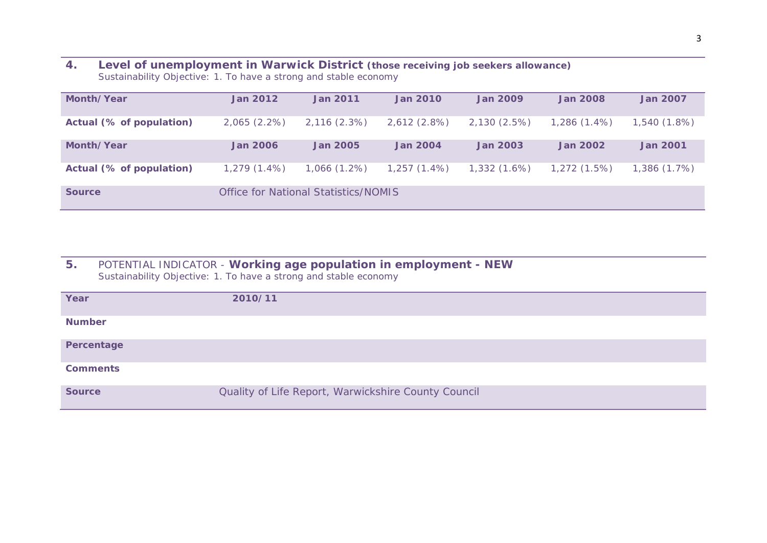#### **4. Level of unemployment in Warwick District (those receiving job seekers allowance)** *Sustainability Objective: 1. To have a strong and stable economy*

| Month/Year               | <b>Jan 2012</b>                      | <b>Jan 2011</b> | <b>Jan 2010</b> | <b>Jan 2009</b> | <b>Jan 2008</b> | <b>Jan 2007</b> |
|--------------------------|--------------------------------------|-----------------|-----------------|-----------------|-----------------|-----------------|
| Actual (% of population) | $2,065(2.2\%)$                       | 2,116(2.3%)     | 2,612(2.8%)     | 2,130 (2.5%)    | $1,286(1.4\%)$  | $1,540(1.8\%)$  |
| Month/Year               | <b>Jan 2006</b>                      | <b>Jan 2005</b> | <b>Jan 2004</b> | <b>Jan 2003</b> | <b>Jan 2002</b> | <b>Jan 2001</b> |
| Actual (% of population) | $1,279(1.4\%)$                       | $1,066(1.2\%)$  | $1,257(1.4\%)$  | $1,332(1.6\%)$  | 1,272(1.5%)     | 1,386(1.7%)     |
| <b>Source</b>            | Office for National Statistics/NOMIS |                 |                 |                 |                 |                 |

### **5.** *POTENTIAL INDICATOR -* **Working age population in employment - NEW** *Sustainability Objective: 1. To have a strong and stable economy*

| Year            | 2010/11                                             |
|-----------------|-----------------------------------------------------|
| <b>Number</b>   |                                                     |
| Percentage      |                                                     |
| <b>Comments</b> |                                                     |
| <b>Source</b>   | Quality of Life Report, Warwickshire County Council |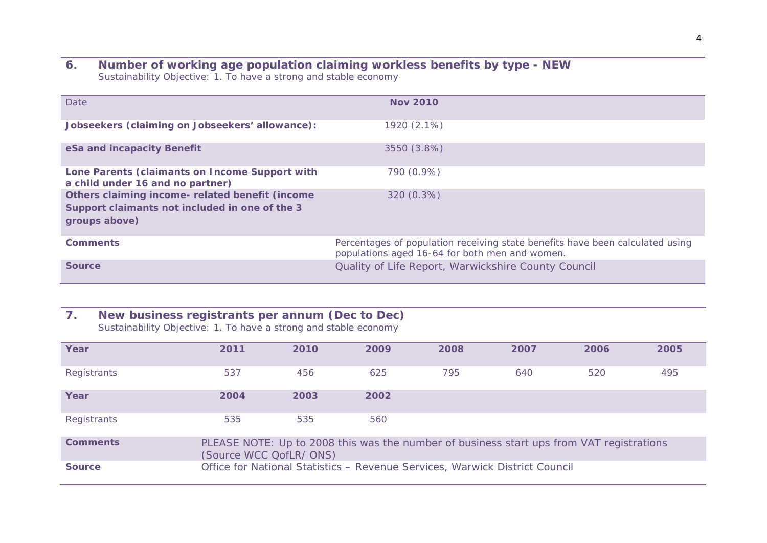#### **6. Number of working age population claiming workless benefits by type - NEW** *Sustainability Objective: 1. To have a strong and stable economy*

| Date                                                                                                               | <b>Nov 2010</b>                                                                                                                 |
|--------------------------------------------------------------------------------------------------------------------|---------------------------------------------------------------------------------------------------------------------------------|
| Jobseekers (claiming on Jobseekers' allowance):                                                                    | 1920 (2.1%)                                                                                                                     |
| eSa and incapacity Benefit                                                                                         | 3550 (3.8%)                                                                                                                     |
| Lone Parents (claimants on Income Support with<br>a child under 16 and no partner)                                 | 790 (0.9%)                                                                                                                      |
| Others claiming income- related benefit (income<br>Support claimants not included in one of the 3<br>groups above) | 320 (0.3%)                                                                                                                      |
| <b>Comments</b>                                                                                                    | Percentages of population receiving state benefits have been calculated using<br>populations aged 16-64 for both men and women. |
| <b>Source</b>                                                                                                      | Quality of Life Report, Warwickshire County Council                                                                             |

### **7. New business registrants per annum (Dec to Dec)**

*Sustainability Objective: 1. To have a strong and stable economy*

| Year            | 2011                                                                                                                | 2010 | 2009 | 2008 | 2007 | 2006 | 2005 |
|-----------------|---------------------------------------------------------------------------------------------------------------------|------|------|------|------|------|------|
| Registrants     | 537                                                                                                                 | 456  | 625  | 795  | 640  | 520  | 495  |
| Year            | 2004                                                                                                                | 2003 | 2002 |      |      |      |      |
| Registrants     | 535                                                                                                                 | 535  | 560  |      |      |      |      |
| <b>Comments</b> | PLEASE NOTE: Up to 2008 this was the number of business start ups from VAT registrations<br>(Source WCC QofLR/ ONS) |      |      |      |      |      |      |
| <b>Source</b>   | Office for National Statistics - Revenue Services, Warwick District Council                                         |      |      |      |      |      |      |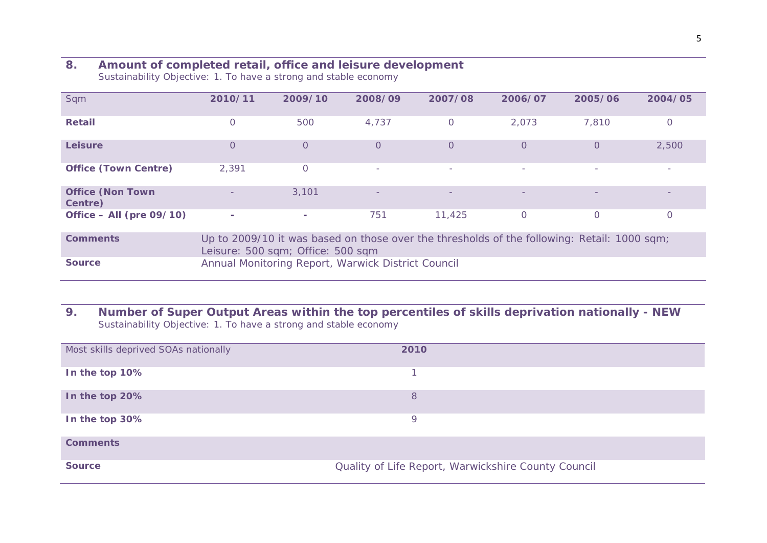### **8. Amount of completed retail, office and leisure development**

*Sustainability Objective: 1. To have a strong and stable economy*

| Sqm                                | 2010/11                                                                                                                          | 2009/10                                            | 2008/09                  | 2007/08                  | 2006/07                  | 2005/06  | 2004/05                  |  |
|------------------------------------|----------------------------------------------------------------------------------------------------------------------------------|----------------------------------------------------|--------------------------|--------------------------|--------------------------|----------|--------------------------|--|
| <b>Retail</b>                      | $\Omega$                                                                                                                         | 500                                                | 4,737                    | 0                        | 2,073                    | 7,810    | $\Omega$                 |  |
| <b>Leisure</b>                     | $\Omega$                                                                                                                         | $\overline{O}$                                     | $\Omega$                 | 0                        | $\Omega$                 | $\Omega$ | 2,500                    |  |
| <b>Office (Town Centre)</b>        | 2,391                                                                                                                            | $\circ$                                            | $\overline{\phantom{a}}$ | $\sim$                   | $\overline{\phantom{a}}$ |          | $\overline{\phantom{a}}$ |  |
| <b>Office (Non Town</b><br>Centre) |                                                                                                                                  | 3,101                                              |                          | $\overline{\phantom{m}}$ |                          |          |                          |  |
| Office $-$ All (pre 09/10)         | $\sim$                                                                                                                           | $\sim$                                             | 751                      | 11,425                   | $\Omega$                 | 0        | 0                        |  |
| <b>Comments</b>                    | Up to 2009/10 it was based on those over the thresholds of the following: Retail: 1000 sqm;<br>Leisure: 500 sqm; Office: 500 sqm |                                                    |                          |                          |                          |          |                          |  |
| <b>Source</b>                      |                                                                                                                                  | Annual Monitoring Report, Warwick District Council |                          |                          |                          |          |                          |  |

### **9. Number of Super Output Areas within the top percentiles of skills deprivation nationally - NEW** *Sustainability Objective: 1. To have a strong and stable economy*

| Most skills deprived SOAs nationally | 2010                                                |  |
|--------------------------------------|-----------------------------------------------------|--|
| In the top 10%                       |                                                     |  |
| In the top 20%                       | 8                                                   |  |
| In the top 30%                       | Q                                                   |  |
| <b>Comments</b>                      |                                                     |  |
| <b>Source</b>                        | Quality of Life Report, Warwickshire County Council |  |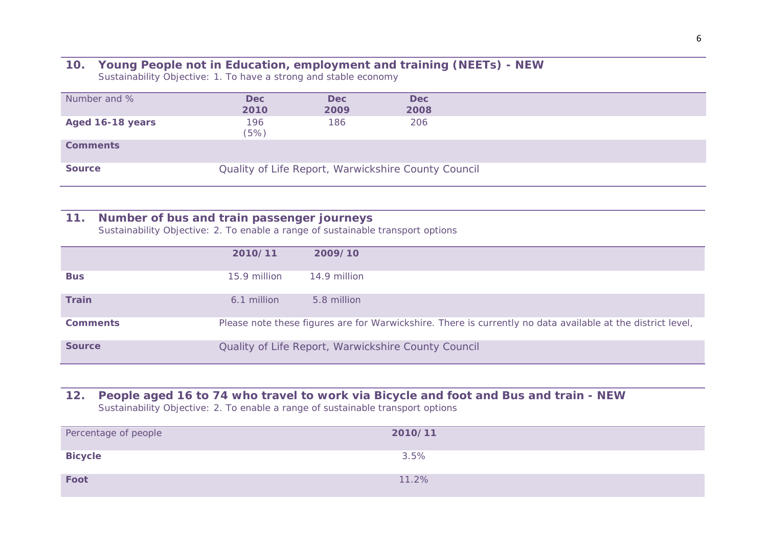#### **10. Young People not in Education, employment and training (NEETs) - NEW** *Sustainability Objective: 1. To have a strong and stable economy*

| Number and %     | <b>Dec</b><br>2010 | <b>Dec</b><br>2009 | <b>Dec</b><br>2008                                  |
|------------------|--------------------|--------------------|-----------------------------------------------------|
| Aged 16-18 years | 196<br>(5%)        | 186                | 206                                                 |
| <b>Comments</b>  |                    |                    |                                                     |
| <b>Source</b>    |                    |                    | Quality of Life Report, Warwickshire County Council |

### **11. Number of bus and train passenger journeys**

*Sustainability Objective: 2. To enable a range of sustainable transport options*

|                 | 2010/11      | 2009/10                                                                                                     |
|-----------------|--------------|-------------------------------------------------------------------------------------------------------------|
| <b>Bus</b>      | 15.9 million | 14.9 million                                                                                                |
| <b>Train</b>    | 6.1 million  | 5.8 million                                                                                                 |
| <b>Comments</b> |              | Please note these figures are for Warwickshire. There is currently no data available at the district level, |
| <b>Source</b>   |              | Quality of Life Report, Warwickshire County Council                                                         |

#### **12. People aged 16 to 74 who travel to work via Bicycle and foot and Bus and train - NEW** *Sustainability Objective: 2. To enable a range of sustainable transport options*

| Percentage of people | 2010/11 |
|----------------------|---------|
| <b>Bicycle</b>       | 3.5%    |
| Foot                 | 11.2%   |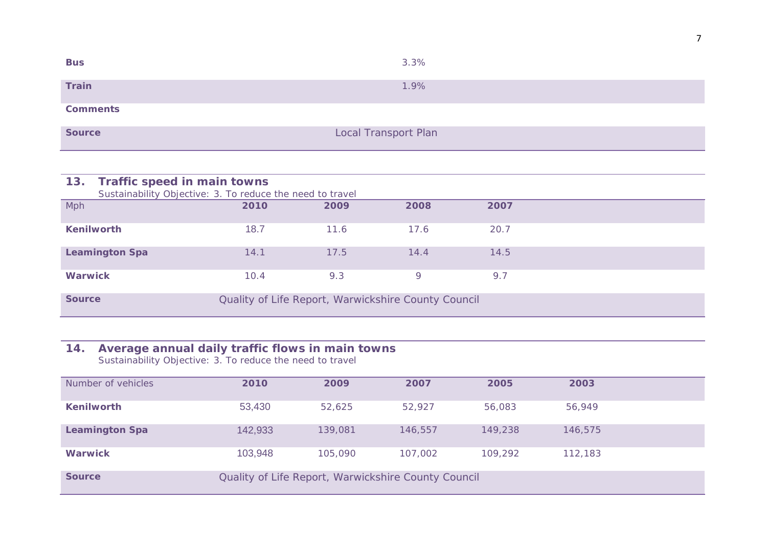| <b>Bus</b>      | 3.3%                        |
|-----------------|-----------------------------|
| Train           | 1.9%                        |
| <b>Comments</b> |                             |
| <b>Source</b>   | <b>Local Transport Plan</b> |

| 13.                   | Traffic speed in main towns                               |      |                                                     |      |      |  |
|-----------------------|-----------------------------------------------------------|------|-----------------------------------------------------|------|------|--|
|                       | Sustainability Objective: 3. To reduce the need to travel |      |                                                     |      |      |  |
| Mph                   |                                                           | 2010 | 2009                                                | 2008 | 2007 |  |
|                       |                                                           |      |                                                     |      |      |  |
| <b>Kenilworth</b>     |                                                           | 18.7 | 11.6                                                | 17.6 | 20.7 |  |
|                       |                                                           |      |                                                     |      |      |  |
| <b>Leamington Spa</b> |                                                           | 14.1 | 17.5                                                | 14.4 | 14.5 |  |
|                       |                                                           |      |                                                     |      |      |  |
| <b>Warwick</b>        |                                                           | 10.4 | 9.3                                                 | 9    | 9.7  |  |
|                       |                                                           |      |                                                     |      |      |  |
| <b>Source</b>         |                                                           |      | Quality of Life Report, Warwickshire County Council |      |      |  |
|                       |                                                           |      |                                                     |      |      |  |

#### **14. Average annual daily traffic flows in main towns**

*Sustainability Objective: 3. To reduce the need to travel*

| Number of vehicles    | 2010    | 2009    | 2007                                                | 2005    | 2003    |  |
|-----------------------|---------|---------|-----------------------------------------------------|---------|---------|--|
| <b>Kenilworth</b>     | 53,430  | 52.625  | 52.927                                              | 56,083  | 56,949  |  |
| <b>Leamington Spa</b> | 142,933 | 139,081 | 146,557                                             | 149,238 | 146,575 |  |
| <b>Warwick</b>        | 103,948 | 105,090 | 107,002                                             | 109,292 | 112,183 |  |
| <b>Source</b>         |         |         | Quality of Life Report, Warwickshire County Council |         |         |  |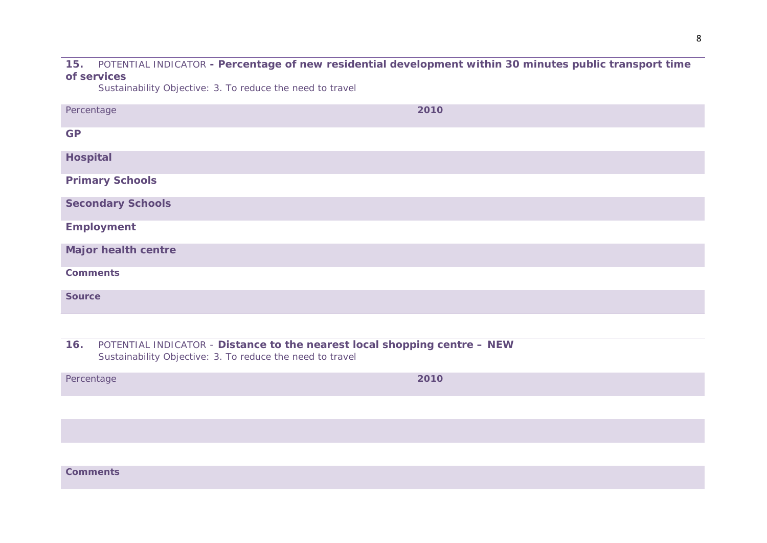#### **15.** POTENTIAL INDICATOR **- Percentage of new residential development within 30 minutes public transport time of services**

*Sustainability Objective: 3. To reduce the need to travel*

| Percentage                 | 2010 |
|----------------------------|------|
| <b>GP</b>                  |      |
| <b>Hospital</b>            |      |
| <b>Primary Schools</b>     |      |
| <b>Secondary Schools</b>   |      |
| <b>Employment</b>          |      |
| <b>Major health centre</b> |      |
| <b>Comments</b>            |      |
| <b>Source</b>              |      |

**16.** POTENTIAL INDICATOR - **Distance to the nearest local shopping centre – NEW** *Sustainability Objective: 3. To reduce the need to travel*

*Percentage* **2010**

**Comments**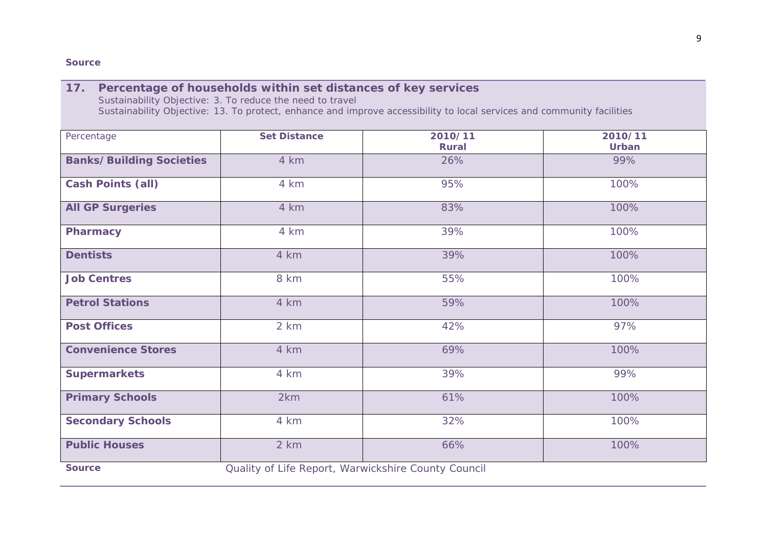#### **Source**

| 17. Percentage of households within set distances of key services                                                      |
|------------------------------------------------------------------------------------------------------------------------|
| Sustainability Objective: 3. To reduce the need to travel                                                              |
| Sustainability Objective: 13. To protect, enhance and improve accessibility to local services and community facilities |

| Percentage                      | <b>Set Distance</b>                                 | 2010/11<br><b>Rural</b> | 2010/11<br>Urban |
|---------------------------------|-----------------------------------------------------|-------------------------|------------------|
| <b>Banks/Building Societies</b> | 4 km                                                | 26%                     | 99%              |
| <b>Cash Points (all)</b>        | 4 km                                                | 95%                     | 100%             |
| <b>All GP Surgeries</b>         | 4 km                                                | 83%                     | 100%             |
| <b>Pharmacy</b>                 | 4 km                                                | 39%                     | 100%             |
| <b>Dentists</b>                 | 4 km                                                | 39%                     | 100%             |
| <b>Job Centres</b>              | 8 km                                                | 55%                     | 100%             |
| <b>Petrol Stations</b>          | 4 km                                                | 59%                     | 100%             |
| <b>Post Offices</b>             | 2 km                                                | 42%                     | 97%              |
| <b>Convenience Stores</b>       | 4 km                                                | 69%                     | 100%             |
| <b>Supermarkets</b>             | 4 km                                                | 39%                     | 99%              |
| <b>Primary Schools</b>          | 2km                                                 | 61%                     | 100%             |
| <b>Secondary Schools</b>        | 4 km                                                | 32%                     | 100%             |
| <b>Public Houses</b>            | 2 km                                                | 66%                     | 100%             |
| <b>Source</b>                   | Quality of Life Report, Warwickshire County Council |                         |                  |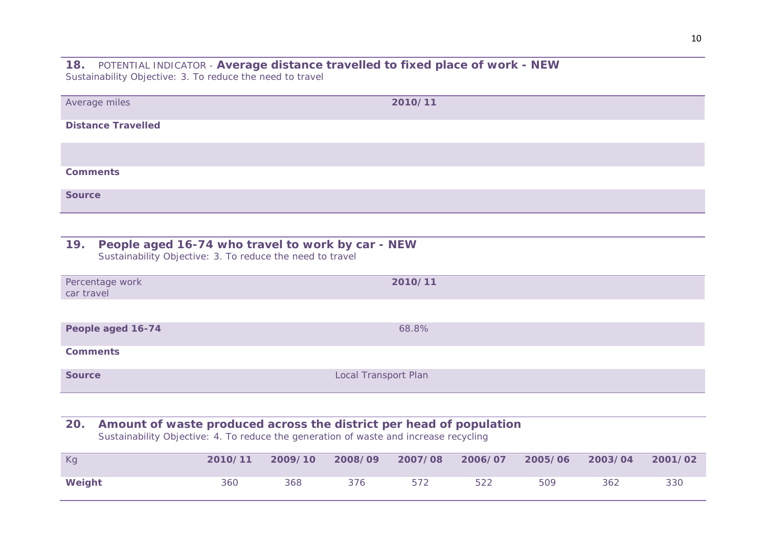**18.** *POTENTIAL INDICATOR -* **Average distance travelled to fixed place of work - NEW** *Sustainability Objective: 3. To reduce the need to travel*

| Average miles             | 2010/11 |
|---------------------------|---------|
| <b>Distance Travelled</b> |         |
|                           |         |
| <b>Comments</b>           |         |
| <b>Source</b>             |         |

| 19. People aged 16-74 who travel to work by car - NEW     |
|-----------------------------------------------------------|
| Sustainability Objective: 3. To reduce the need to travel |

| Percentage work<br>car travel | 2010/11              |
|-------------------------------|----------------------|
|                               |                      |
| People aged 16-74             | 68.8%                |
| <b>Comments</b>               |                      |
| <b>Source</b>                 | Local Transport Plan |

# **20. Amount of waste produced across the district per head of population**

*Sustainability Objective: 4. To reduce the generation of waste and increase recycling*

| Kg     | 2010/11 | 2009/10 | 2008/09 | 2007/08 | 2006/07 | 2005/06 | 2003/04 | 2001/02 |
|--------|---------|---------|---------|---------|---------|---------|---------|---------|
| Weight | 360     | 368     | 376     | 572     | 522     | 509     | 362     | 330     |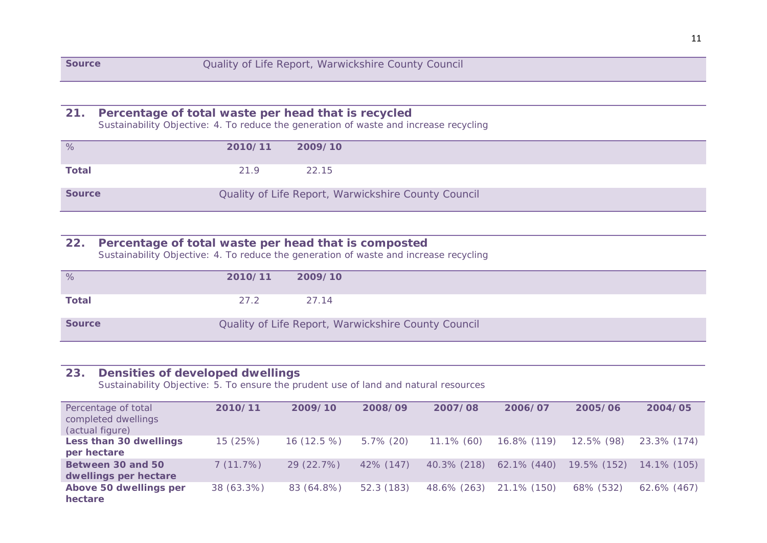# **21. Percentage of total waste per head that is recycled**

*Sustainability Objective: 4. To reduce the generation of waste and increase recycling*

| %             | 2010/11 | 2009/10                                             |
|---------------|---------|-----------------------------------------------------|
| <b>Total</b>  | 21.9    | 22.15                                               |
| <b>Source</b> |         | Quality of Life Report, Warwickshire County Council |

### **22. Percentage of total waste per head that is composted**

*Sustainability Objective: 4. To reduce the generation of waste and increase recycling*

| %             | 2010/11 | 2009/10                                             |
|---------------|---------|-----------------------------------------------------|
| <b>Total</b>  | 27.2    | 27.14                                               |
| <b>Source</b> |         | Quality of Life Report, Warwickshire County Council |

# **23***.* **Densities of developed dwellings**

*Sustainability Objective: 5. To ensure the prudent use of land and natural resources*

| Percentage of total<br>completed dwellings<br>(actual figure) | 2010/11    | 2009/10      | 2008/09      | 2007/08       | 2006/07        | 2005/06     | 2004/05        |
|---------------------------------------------------------------|------------|--------------|--------------|---------------|----------------|-------------|----------------|
| Less than 30 dwellings<br>per hectare                         | 15 (25%)   | $16(12.5\%)$ | $5.7\%$ (20) | $11.1\%$ (60) | 16.8% (119)    | 12.5% (98)  | 23.3% (174)    |
| Between 30 and 50<br>dwellings per hectare                    | 7(11.7%)   | 29 (22.7%)   | $42\%$ (147) | 40.3% (218)   | $62.1\%$ (440) | 19.5% (152) | $14.1\%$ (105) |
| Above 50 dwellings per<br>hectare                             | 38 (63.3%) | 83 (64.8%)   | 52.3 (183)   | 48.6% (263)   | 21.1% (150)    | 68% (532)   | 62.6% (467)    |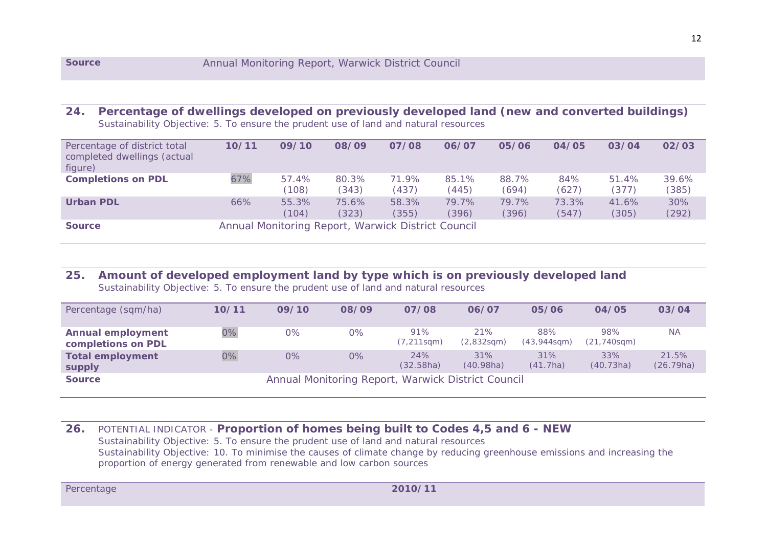#### **24. Percentage of dwellings developed on previously developed land (new and converted buildings)** *Sustainability Objective: 5. To ensure the prudent use of land and natural resources*

| Percentage of district total<br>completed dwellings (actual<br>figure) | 10/11 | 09/10          | 08/09          | 07/08          | 06/07                                              | 05/06          | 04/05          | 03/04          | 02/03          |  |  |  |  |  |  |
|------------------------------------------------------------------------|-------|----------------|----------------|----------------|----------------------------------------------------|----------------|----------------|----------------|----------------|--|--|--|--|--|--|
| <b>Completions on PDL</b>                                              | 67%   | 57.4%<br>(108) | 80.3%<br>(343) | 71.9%<br>(437) | 85.1%<br>(445)                                     | 88.7%<br>(694) | 84%<br>(627)   | 51.4%<br>(377) | 39.6%<br>(385) |  |  |  |  |  |  |
| <b>Urban PDL</b>                                                       | 66%   | 55.3%<br>(104) | 75.6%<br>(323) | 58.3%<br>(355) | 79.7%<br>(396)                                     | 79.7%<br>(396) | 73.3%<br>(547) | 41.6%<br>(305) | 30%<br>(292)   |  |  |  |  |  |  |
| <b>Source</b>                                                          |       |                |                |                | Annual Monitoring Report, Warwick District Council |                |                |                |                |  |  |  |  |  |  |

# **25. Amount of developed employment land by type which is on previously developed land**

*Sustainability Objective: 5. To ensure the prudent use of land and natural resources*

| Percentage (sqm/ha)                            | 10/11                                              | 09/10 | 08/09 | 07/08                    | 06/07             | 05/06                    | 04/05                     | 03/04              |  |  |  |
|------------------------------------------------|----------------------------------------------------|-------|-------|--------------------------|-------------------|--------------------------|---------------------------|--------------------|--|--|--|
| <b>Annual employment</b><br>completions on PDL | $0\%$                                              | 0%    | $0\%$ | 91%<br>$(7, 211$ sqm $)$ | 21%<br>(2,832sgm) | 88%<br>$(43,944$ sqm $)$ | 98%<br>$(21, 740$ sqm $)$ | <b>NA</b>          |  |  |  |
| <b>Total employment</b><br>supply              | $0\%$                                              | 0%    | 0%    | 24%<br>(32.58ha)         | 31%<br>(40.98ha)  | 31%<br>(41.7ha)          | 33%<br>(40.73ha)          | 21.5%<br>(26.79ha) |  |  |  |
| <b>Source</b>                                  | Annual Monitoring Report, Warwick District Council |       |       |                          |                   |                          |                           |                    |  |  |  |

**26.** *POTENTIAL INDICATOR -* **Proportion of homes being built to Codes 4,5 and 6 - NEW** *Sustainability Objective: 5. To ensure the prudent use of land and natural resources Sustainability Objective: 10. To minimise the causes of climate change by reducing greenhouse emissions and increasing the proportion of energy generated from renewable and low carbon sources*

12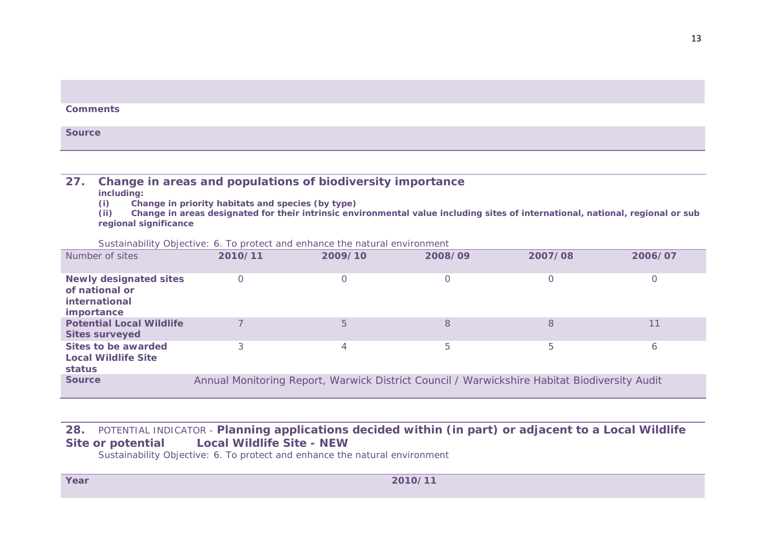|  | <b>Comments</b> |  |  |  |  |  |
|--|-----------------|--|--|--|--|--|
|--|-----------------|--|--|--|--|--|

**Source**

# **27. Change in areas and populations of biodiversity importance**

**including:**

**(i) Change in priority habitats and species (by type)**

**(ii) Change in areas designated for their intrinsic environmental value including sites of international, national, regional or sub regional significance**

*Sustainability Objective: 6. To protect and enhance the natural environment*

| Number of sites                                                                | 2010/11  | 2009/10        | 2008/09 | 2007/08                                                                                      | 2006/07 |
|--------------------------------------------------------------------------------|----------|----------------|---------|----------------------------------------------------------------------------------------------|---------|
| <b>Newly designated sites</b><br>of national or<br>international<br>importance | $\Omega$ |                |         | C                                                                                            |         |
| <b>Potential Local Wildlife</b><br><b>Sites surveyed</b>                       |          | 5              | 8       | 8                                                                                            | 11      |
| Sites to be awarded<br><b>Local Wildlife Site</b><br>status                    | 3        | $\overline{4}$ | 5       | 5                                                                                            | 6       |
| <b>Source</b>                                                                  |          |                |         | Annual Monitoring Report, Warwick District Council / Warwickshire Habitat Biodiversity Audit |         |

# **28.** *POTENTIAL INDICATOR -* **Planning applications decided within (in part) or adjacent to a Local Wildlife Site or potential Local Wildlife Site - NEW**

*Sustainability Objective: 6. To protect and enhance the natural environment*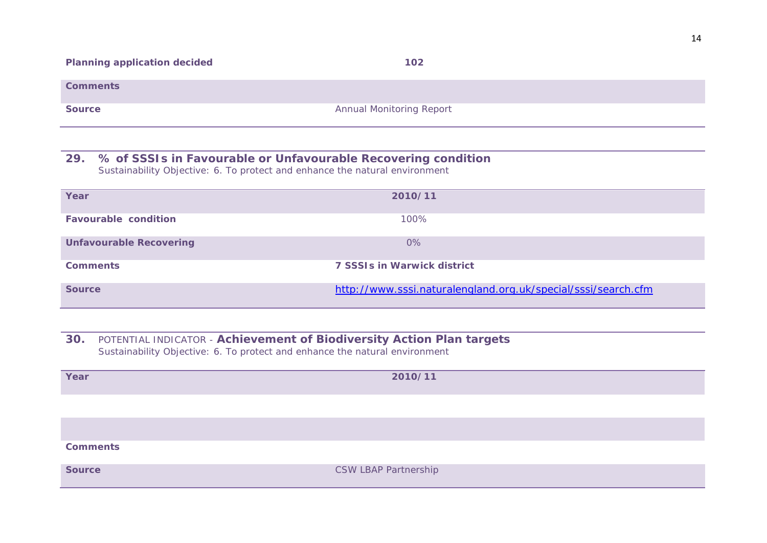**Comments**

**Source** Annual Monitoring Report

#### **29. % of SSSIs in Favourable or Unfavourable Recovering condition** *Sustainability Objective: 6. To protect and enhance the natural environment*

| Year                           | 2010/11                                                       |
|--------------------------------|---------------------------------------------------------------|
| <b>Favourable condition</b>    | 100%                                                          |
| <b>Unfavourable Recovering</b> | 0%                                                            |
| <b>Comments</b>                | <b>7 SSSIs in Warwick district</b>                            |
| <b>Source</b>                  | http://www.sssi.naturalengland.org.uk/special/sssi/search.cfm |

**30.** *POTENTIAL INDICATOR -* **Achievement of Biodiversity Action Plan targets** *Sustainability Objective: 6. To protect and enhance the natural environment*

| Year            | 2010/11                     |
|-----------------|-----------------------------|
|                 |                             |
|                 |                             |
| <b>Comments</b> |                             |
| <b>Source</b>   | <b>CSW LBAP Partnership</b> |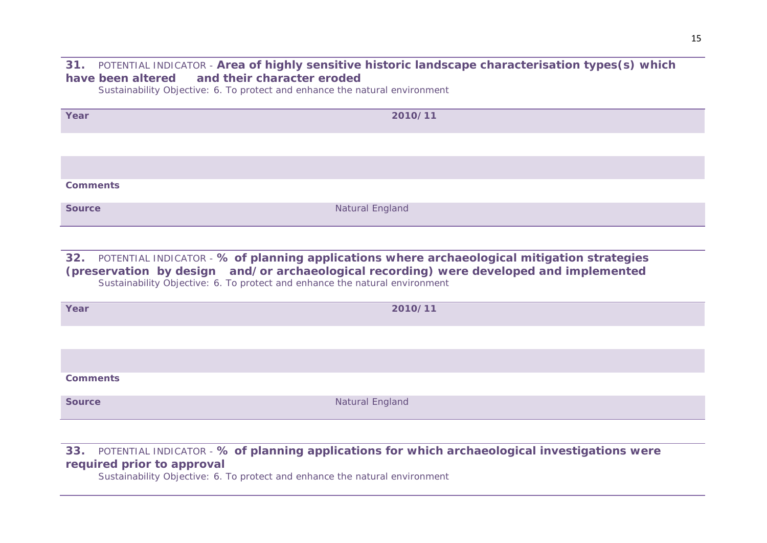### **31.** *POTENTIAL INDICATOR -* **Area of highly sensitive historic landscape characterisation types(s) which have been altered and their character eroded**

*Sustainability Objective: 6. To protect and enhance the natural environment*

| Year            | 2010/11         |
|-----------------|-----------------|
|                 |                 |
|                 |                 |
| <b>Comments</b> |                 |
|                 |                 |
| <b>Source</b>   | Natural England |

**32.** *POTENTIAL INDICATOR -* **% of planning applications where archaeological mitigation strategies (preservation by design and/or archaeological recording) were developed and implemented** *Sustainability Objective: 6. To protect and enhance the natural environment*

| Year            | 2010/11         |
|-----------------|-----------------|
|                 |                 |
|                 |                 |
| <b>Comments</b> |                 |
| <b>Source</b>   | Natural England |

### **33.** *POTENTIAL INDICATOR -* **% of planning applications for which archaeological investigations were required prior to approval**

*Sustainability Objective: 6. To protect and enhance the natural environment*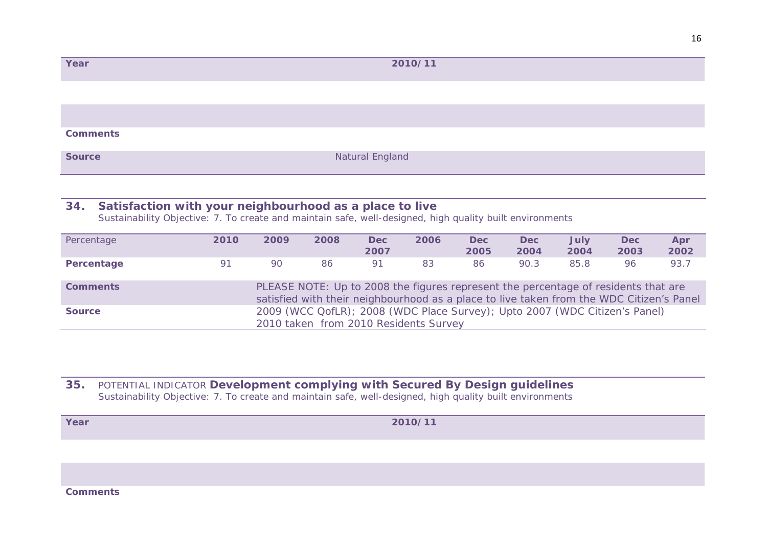| Year            | 2010/11         |
|-----------------|-----------------|
|                 |                 |
|                 |                 |
| <b>Comments</b> |                 |
| <b>Source</b>   | Natural England |

# **34. Satisfaction with your neighbourhood as a place to live**

*Sustainability Objective: 7. To create and maintain safe, well-designed, high quality built environments*

| Percentage      | 2010                                                                                                                                                                           | 2009 | 2008 | <b>Dec</b><br>2007 | 2006 | <b>Dec</b><br>2005 | <b>Dec</b><br>2004 | <b>July</b><br>2004 | <b>Dec</b><br>2003 | Apr<br>2002 |  |
|-----------------|--------------------------------------------------------------------------------------------------------------------------------------------------------------------------------|------|------|--------------------|------|--------------------|--------------------|---------------------|--------------------|-------------|--|
| Percentage      | 91                                                                                                                                                                             | 90   | 86   | 91                 | 83   | 86                 | 90.3               | 85.8                | 96                 | 93.7        |  |
| <b>Comments</b> | PLEASE NOTE: Up to 2008 the figures represent the percentage of residents that are<br>satisfied with their neighbourhood as a place to live taken from the WDC Citizen's Panel |      |      |                    |      |                    |                    |                     |                    |             |  |
| <b>Source</b>   | 2009 (WCC QofLR); 2008 (WDC Place Survey); Upto 2007 (WDC Citizen's Panel)<br>2010 taken from 2010 Residents Survey                                                            |      |      |                    |      |                    |                    |                     |                    |             |  |

### **35.** *POTENTIAL INDICATOR* **Development complying with Secured By Design guidelines** *Sustainability Objective: 7. To create and maintain safe, well-designed, high quality built environments*

**Year 2010/11**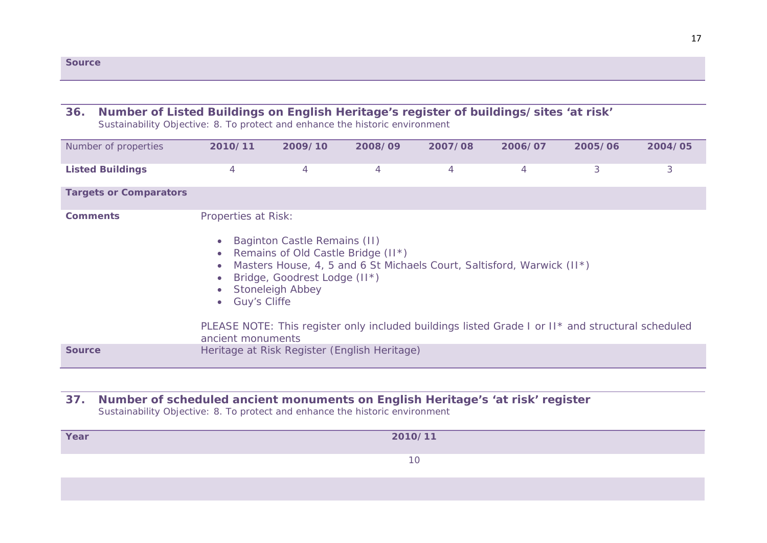| <b>Source</b> |  |  |  |
|---------------|--|--|--|
|               |  |  |  |

### **36. Number of Listed Buildings on English Heritage's register of buildings/sites 'at risk'**

*Sustainability Objective: 8. To protect and enhance the historic environment*

| Number of properties          | 2010/11                                                                                                                                                                                                                                                                                                                                                    | 2009/10 | 2008/09 | 2007/08 | 2006/07 | 2005/06 | 2004/05 |  |  |
|-------------------------------|------------------------------------------------------------------------------------------------------------------------------------------------------------------------------------------------------------------------------------------------------------------------------------------------------------------------------------------------------------|---------|---------|---------|---------|---------|---------|--|--|
| <b>Listed Buildings</b>       | 4                                                                                                                                                                                                                                                                                                                                                          | 4       | 4       | 4       | 4       | 3       | 3       |  |  |
| <b>Targets or Comparators</b> |                                                                                                                                                                                                                                                                                                                                                            |         |         |         |         |         |         |  |  |
| <b>Comments</b>               | Properties at Risk:<br>Baginton Castle Remains (II)<br>Remains of Old Castle Bridge (II*)<br>Masters House, 4, 5 and 6 St Michaels Court, Saltisford, Warwick (II*)<br>Bridge, Goodrest Lodge (II*)<br><b>Stoneleigh Abbey</b><br><b>Guy's Cliffe</b><br>PLEASE NOTE: This register only included buildings listed Grade I or II* and structural scheduled |         |         |         |         |         |         |  |  |
| <b>Source</b>                 | ancient monuments<br>Heritage at Risk Register (English Heritage)                                                                                                                                                                                                                                                                                          |         |         |         |         |         |         |  |  |

### **37. Number of scheduled ancient monuments on English Heritage's 'at risk' register** *Sustainability Objective: 8. To protect and enhance the historic environment*

| Year | 2010/11 |
|------|---------|
|      | 10      |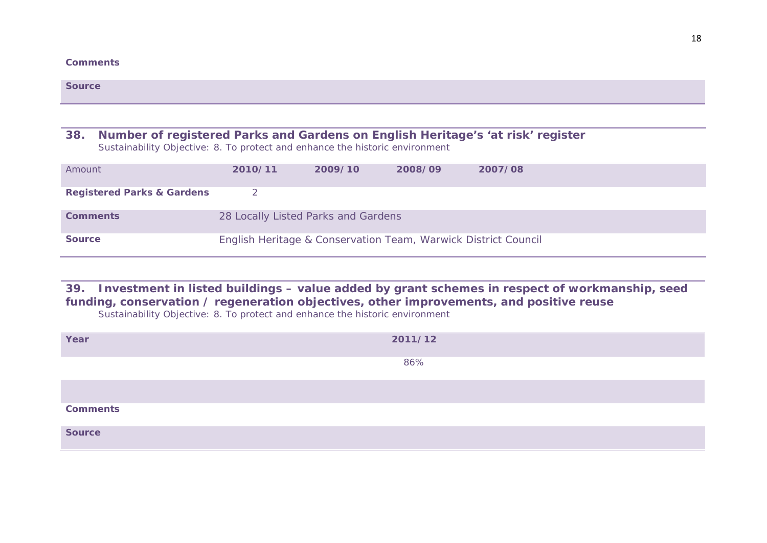#### **Comments**

|        | <b>Source</b>                                                                                                                                                   |         |         |         |         |  |  |  |  |  |
|--------|-----------------------------------------------------------------------------------------------------------------------------------------------------------------|---------|---------|---------|---------|--|--|--|--|--|
|        |                                                                                                                                                                 |         |         |         |         |  |  |  |  |  |
| 38.    | Number of registered Parks and Gardens on English Heritage's 'at risk' register<br>Sustainability Objective: 8. To protect and enhance the historic environment |         |         |         |         |  |  |  |  |  |
| Amount |                                                                                                                                                                 | 2010/11 | 2009/10 | 2008/09 | 2007/08 |  |  |  |  |  |
|        | <b>Registered Parks &amp; Gardens</b>                                                                                                                           |         |         |         |         |  |  |  |  |  |

| 39. Investment in listed buildings – value added by grant schemes in respect of workmanship, seed |
|---------------------------------------------------------------------------------------------------|
| funding, conservation / regeneration objectives, other improvements, and positive reuse           |

*Sustainability Objective: 8. To protect and enhance the historic environment*

**Source** English Heritage & Conservation Team, Warwick District Council

**Comments** 28 Locally Listed Parks and Gardens

| Year            | 2011/12 |
|-----------------|---------|
|                 | 86%     |
|                 |         |
| <b>Comments</b> |         |
| <b>Source</b>   |         |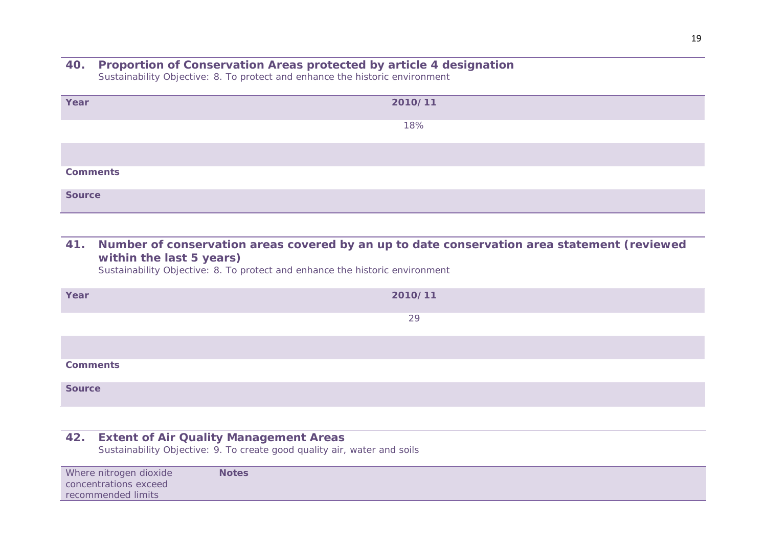#### **40. Proportion of Conservation Areas protected by article 4 designation** *Sustainability Objective: 8. To protect and enhance the historic environment*

| Year            | 2010/11 |
|-----------------|---------|
|                 | 18%     |
|                 |         |
| <b>Comments</b> |         |
| <b>Source</b>   |         |

**41. Number of conservation areas covered by an up to date conservation area statement (reviewed within the last 5 years)**

*Sustainability Objective: 8. To protect and enhance the historic environment*

| Year            | 2010/11 |
|-----------------|---------|
|                 | 29      |
|                 |         |
| <b>Comments</b> |         |
| <b>Source</b>   |         |

# **42. Extent of Air Quality Management Areas**

*Sustainability Objective: 9. To create good quality air, water and soils*

| Where nitrogen dioxide | <b>Notes</b> |  |  |  |
|------------------------|--------------|--|--|--|
| concentrations exceed  |              |  |  |  |
| recommended limits     |              |  |  |  |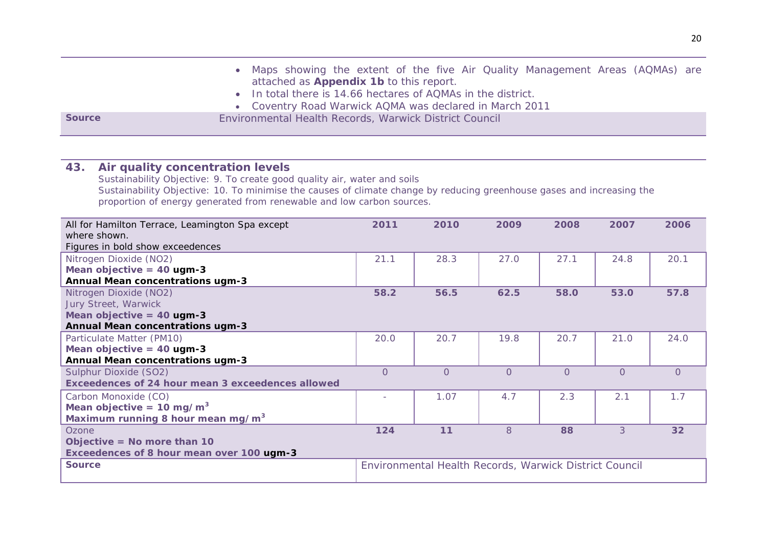|               | • Maps showing the extent of the five Air Quality Management Areas (AQMAs) are |  |  |  |  |  |
|---------------|--------------------------------------------------------------------------------|--|--|--|--|--|
|               | attached as <b>Appendix 1b</b> to this report.                                 |  |  |  |  |  |
|               | • In total there is 14.66 hectares of AQMAs in the district.                   |  |  |  |  |  |
|               | • Coventry Road Warwick AQMA was declared in March 2011                        |  |  |  |  |  |
| <b>Source</b> | Environmental Health Records, Warwick District Council                         |  |  |  |  |  |

# **43. Air quality concentration levels**

*Sustainability Objective: 9. To create good quality air, water and soils Sustainability Objective: 10. To minimise the causes of climate change by reducing greenhouse gases and increasing the proportion of energy generated from renewable and low carbon sources.*

| All for Hamilton Terrace, Leamington Spa except   | 2011     | 2010                                                   | 2009     | 2008     | 2007     | 2006            |
|---------------------------------------------------|----------|--------------------------------------------------------|----------|----------|----------|-----------------|
| where shown.                                      |          |                                                        |          |          |          |                 |
| Figures in bold show exceedences                  |          |                                                        |          |          |          |                 |
| Nitrogen Dioxide (NO2)                            | 21.1     | 28.3                                                   | 27.0     | 27.1     | 24.8     | 20.1            |
| Mean objective = $40$ ugm-3                       |          |                                                        |          |          |          |                 |
| <b>Annual Mean concentrations ugm-3</b>           |          |                                                        |          |          |          |                 |
| Nitrogen Dioxide (NO2)                            | 58.2     | 56.5                                                   | 62.5     | 58.0     | 53.0     | 57.8            |
| Jury Street, Warwick                              |          |                                                        |          |          |          |                 |
| Mean objective $=$ 40 ugm-3                       |          |                                                        |          |          |          |                 |
| <b>Annual Mean concentrations ugm-3</b>           |          |                                                        |          |          |          |                 |
| Particulate Matter (PM10)                         | 20.0     | 20.7                                                   | 19.8     | 20.7     | 21.0     | 24.0            |
| Mean objective = $40$ ugm-3                       |          |                                                        |          |          |          |                 |
| <b>Annual Mean concentrations ugm-3</b>           |          |                                                        |          |          |          |                 |
| Sulphur Dioxide (SO2)                             | $\Omega$ | $\Omega$                                               | $\Omega$ | $\Omega$ | $\Omega$ | $\Omega$        |
| Exceedences of 24 hour mean 3 exceedences allowed |          |                                                        |          |          |          |                 |
| Carbon Monoxide (CO)                              |          | 1.07                                                   | 4.7      | 2.3      | 2.1      | 1.7             |
| Mean objective = $10 \text{ mg/m}^3$              |          |                                                        |          |          |          |                 |
| Maximum running 8 hour mean mg/m <sup>3</sup>     |          |                                                        |          |          |          |                 |
| Ozone                                             | 124      | 11                                                     | 8        | 88       | 3        | 32 <sub>2</sub> |
| Objective = No more than $10$                     |          |                                                        |          |          |          |                 |
| Exceedences of 8 hour mean over 100 ugm-3         |          |                                                        |          |          |          |                 |
| <b>Source</b>                                     |          | Environmental Health Records, Warwick District Council |          |          |          |                 |
|                                                   |          |                                                        |          |          |          |                 |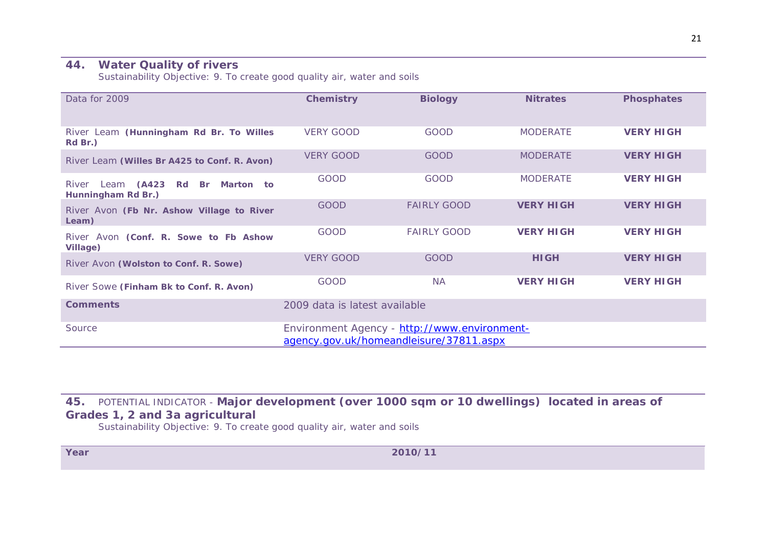#### **44. Water Quality of rivers**

*Sustainability Objective: 9. To create good quality air, water and soils*

| Data for 2009                                                   | <b>Chemistry</b>                                                                        | <b>Biology</b>     | <b>Nitrates</b>  | <b>Phosphates</b> |  |  |
|-----------------------------------------------------------------|-----------------------------------------------------------------------------------------|--------------------|------------------|-------------------|--|--|
| River Leam (Hunningham Rd Br. To Willes<br>Rd Br.)              | <b>VERY GOOD</b>                                                                        | GOOD               | <b>MODERATE</b>  | <b>VERY HIGH</b>  |  |  |
| River Leam (Willes Br A425 to Conf. R. Avon)                    | <b>VERY GOOD</b>                                                                        | <b>GOOD</b>        | <b>MODERATE</b>  | <b>VERY HIGH</b>  |  |  |
| Leam (A423 Rd<br>River<br>Marton to<br>Br<br>Hunningham Rd Br.) | <b>GOOD</b>                                                                             | <b>GOOD</b>        | <b>MODERATE</b>  | <b>VERY HIGH</b>  |  |  |
| River Avon (Fb Nr. Ashow Village to River<br>Leam)              | <b>GOOD</b>                                                                             | <b>FAIRLY GOOD</b> | <b>VERY HIGH</b> | <b>VERY HIGH</b>  |  |  |
| River Avon (Conf. R. Sowe to Fb Ashow<br><b>Village)</b>        | <b>GOOD</b>                                                                             | <b>FAIRLY GOOD</b> | <b>VERY HIGH</b> | <b>VERY HIGH</b>  |  |  |
| River Avon (Wolston to Conf. R. Sowe)                           | <b>VERY GOOD</b>                                                                        | GOOD               | <b>HIGH</b>      | <b>VERY HIGH</b>  |  |  |
| River Sowe (Finham Bk to Conf. R. Avon)                         | <b>GOOD</b>                                                                             | NA.                | <b>VERY HIGH</b> | <b>VERY HIGH</b>  |  |  |
| <b>Comments</b>                                                 | 2009 data is latest available                                                           |                    |                  |                   |  |  |
| Source                                                          | Environment Agency - http://www.environment-<br>agency.gov.uk/homeandleisure/37811.aspx |                    |                  |                   |  |  |

**45.** *POTENTIAL INDICATOR -* **Major development (over 1000 sqm or 10 dwellings) located in areas of Grades 1, 2 and 3a agricultural**

*Sustainability Objective: 9. To create good quality air, water and soils*

**Year 2010/11**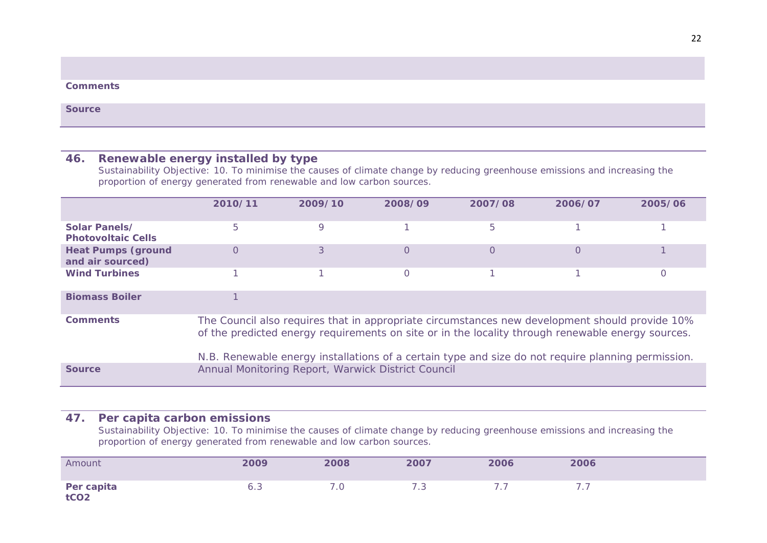#### **Comments**

**Source**

### **46. Renewable energy installed by type**

*Sustainability Objective: 10. To minimise the causes of climate change by reducing greenhouse emissions and increasing the proportion of energy generated from renewable and low carbon sources.*

|                                               | 2010/11                                                                                                                                                                                                                                                                                                   | 2009/10 | 2008/09 | 2007/08  | 2006/07  | 2005/06 |  |  |  |
|-----------------------------------------------|-----------------------------------------------------------------------------------------------------------------------------------------------------------------------------------------------------------------------------------------------------------------------------------------------------------|---------|---------|----------|----------|---------|--|--|--|
| Solar Panels/<br><b>Photovoltaic Cells</b>    | 5                                                                                                                                                                                                                                                                                                         | 9       |         | 5        |          |         |  |  |  |
| <b>Heat Pumps (ground</b><br>and air sourced) | $\Omega$                                                                                                                                                                                                                                                                                                  | 3       | 0       | $\Omega$ | $\Omega$ |         |  |  |  |
| <b>Wind Turbines</b>                          |                                                                                                                                                                                                                                                                                                           |         |         |          |          |         |  |  |  |
| <b>Biomass Boiler</b>                         |                                                                                                                                                                                                                                                                                                           |         |         |          |          |         |  |  |  |
| <b>Comments</b>                               | The Council also requires that in appropriate circumstances new development should provide 10%<br>of the predicted energy requirements on site or in the locality through renewable energy sources.<br>N.B. Renewable energy installations of a certain type and size do not require planning permission. |         |         |          |          |         |  |  |  |
| <b>Source</b>                                 | Annual Monitoring Report, Warwick District Council                                                                                                                                                                                                                                                        |         |         |          |          |         |  |  |  |

### **47. Per capita carbon emissions**

*Sustainability Objective: 10. To minimise the causes of climate change by reducing greenhouse emissions and increasing the proportion of energy generated from renewable and low carbon sources.*

| Amount                         | 2009 | 2008 | 2007 | 2006 | 2006 |
|--------------------------------|------|------|------|------|------|
| Per capita<br>tCO <sub>2</sub> | 6.3  |      | 7.3  |      |      |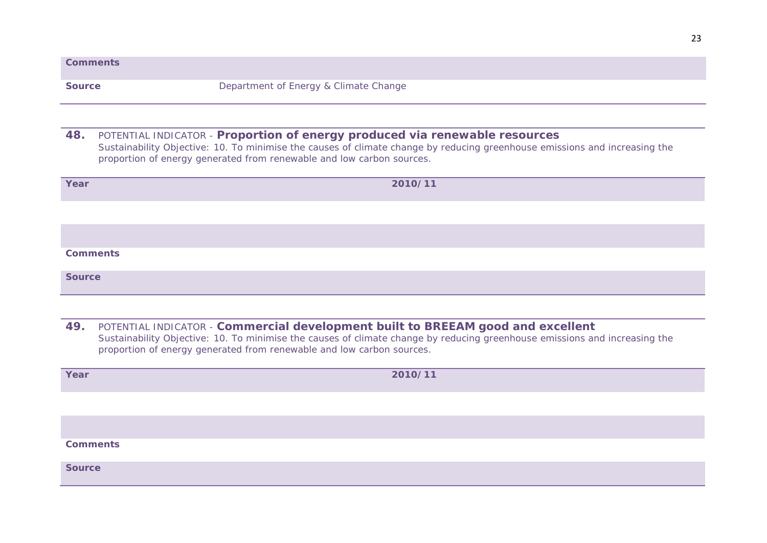|               | <b>Comments</b>                                                                                                                                                                                                                                                                        |
|---------------|----------------------------------------------------------------------------------------------------------------------------------------------------------------------------------------------------------------------------------------------------------------------------------------|
| <b>Source</b> | Department of Energy & Climate Change                                                                                                                                                                                                                                                  |
|               |                                                                                                                                                                                                                                                                                        |
|               |                                                                                                                                                                                                                                                                                        |
| 48.           | POTENTIAL INDICATOR - Proportion of energy produced via renewable resources<br>Sustainability Objective: 10. To minimise the causes of climate change by reducing greenhouse emissions and increasing the<br>proportion of energy generated from renewable and low carbon sources.     |
| Year          | 2010/11                                                                                                                                                                                                                                                                                |
|               |                                                                                                                                                                                                                                                                                        |
|               |                                                                                                                                                                                                                                                                                        |
|               | <b>Comments</b>                                                                                                                                                                                                                                                                        |
| <b>Source</b> |                                                                                                                                                                                                                                                                                        |
|               |                                                                                                                                                                                                                                                                                        |
| 49.           | POTENTIAL INDICATOR - Commercial development built to BREEAM good and excellent<br>Sustainability Objective: 10. To minimise the causes of climate change by reducing greenhouse emissions and increasing the<br>proportion of energy generated from renewable and low carbon sources. |
| Year          | 2010/11                                                                                                                                                                                                                                                                                |

**Comments**

**Source**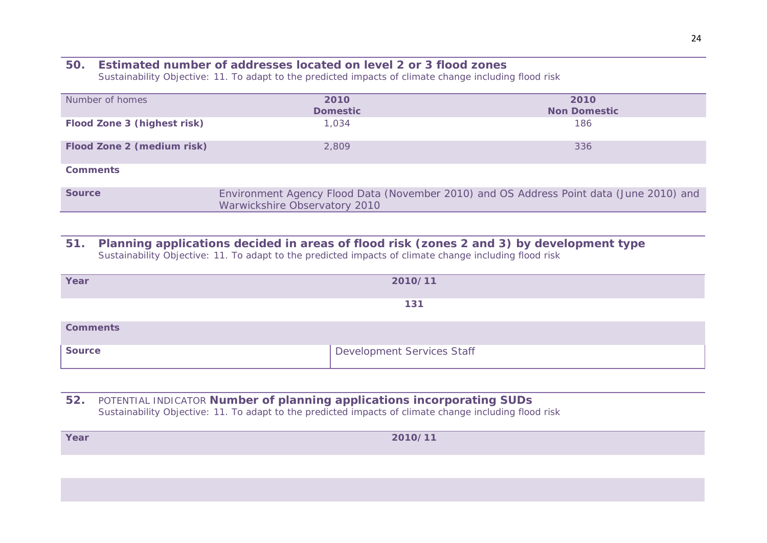# **50. Estimated number of addresses located on level 2 or 3 flood zones**

*Sustainability Objective: 11. To adapt to the predicted impacts of climate change including flood risk*

| Number of homes             | 2010<br><b>Domestic</b>       | 2010<br><b>Non Domestic</b>                                                             |
|-----------------------------|-------------------------------|-----------------------------------------------------------------------------------------|
| Flood Zone 3 (highest risk) | 1,034                         | 186                                                                                     |
| Flood Zone 2 (medium risk)  | 2,809                         | 336                                                                                     |
| <b>Comments</b>             |                               |                                                                                         |
| <b>Source</b>               | Warwickshire Observatory 2010 | Environment Agency Flood Data (November 2010) and OS Address Point data (June 2010) and |

#### **51. Planning applications decided in areas of flood risk (zones 2 and 3) by development type** *Sustainability Objective: 11. To adapt to the predicted impacts of climate change including flood risk*

| Year            | 2010/11                    |
|-----------------|----------------------------|
|                 | 131                        |
| <b>Comments</b> |                            |
| <b>Source</b>   | Development Services Staff |

### **52.** *POTENTIAL INDICATOR* **Number of planning applications incorporating SUDs** *Sustainability Objective: 11. To adapt to the predicted impacts of climate change including flood risk*

| Year | 2010/11 |
|------|---------|
|      |         |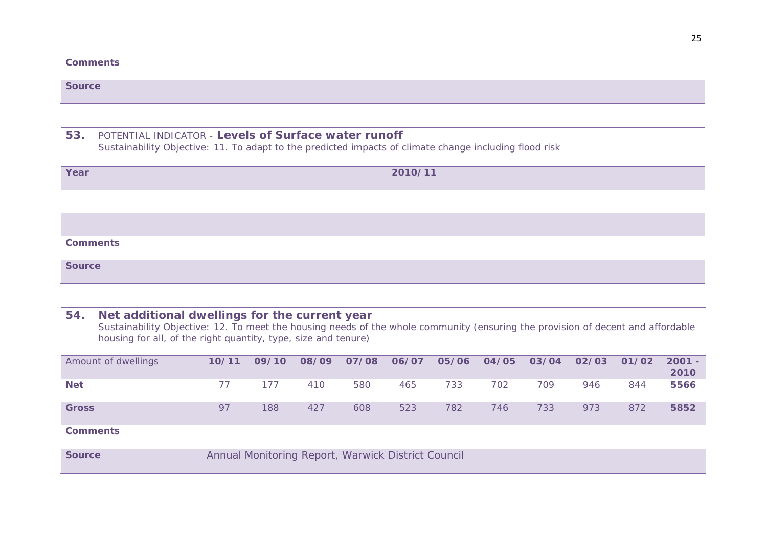#### **Comments**

| <b>Source</b>   |                                                                                                                                                                |  |  |  |  |  |  |  |  |
|-----------------|----------------------------------------------------------------------------------------------------------------------------------------------------------------|--|--|--|--|--|--|--|--|
|                 |                                                                                                                                                                |  |  |  |  |  |  |  |  |
| 53.             | POTENTIAL INDICATOR - Levels of Surface water runoff<br>Sustainability Objective: 11. To adapt to the predicted impacts of climate change including flood risk |  |  |  |  |  |  |  |  |
| Year            | 2010/11                                                                                                                                                        |  |  |  |  |  |  |  |  |
|                 |                                                                                                                                                                |  |  |  |  |  |  |  |  |
|                 |                                                                                                                                                                |  |  |  |  |  |  |  |  |
| <b>Comments</b> |                                                                                                                                                                |  |  |  |  |  |  |  |  |
| <b>Source</b>   |                                                                                                                                                                |  |  |  |  |  |  |  |  |

#### **54. Net additional dwellings for the current year**

*Sustainability Objective: 12. To meet the housing needs of the whole community (ensuring the provision of decent and affordable housing for all, of the right quantity, type, size and tenure)*

| Amount of dwellings | 10/11                                              | 09/10 | 08/09 | 07/08 | 06/07 | 05/06 | 04/05 | 03/04 | 02/03 | 01/02 | $2001 -$<br>2010 |
|---------------------|----------------------------------------------------|-------|-------|-------|-------|-------|-------|-------|-------|-------|------------------|
| <b>Net</b>          |                                                    | 177   | 410   | 580   | 465   | 733   | 702   | 709   | 946   | 844   | 5566             |
| <b>Gross</b>        | 97                                                 | 188   | 427   | 608   | 523   | 782   | 746   | 733   | 973   | 872   | 5852             |
| <b>Comments</b>     |                                                    |       |       |       |       |       |       |       |       |       |                  |
| <b>Source</b>       | Annual Monitoring Report, Warwick District Council |       |       |       |       |       |       |       |       |       |                  |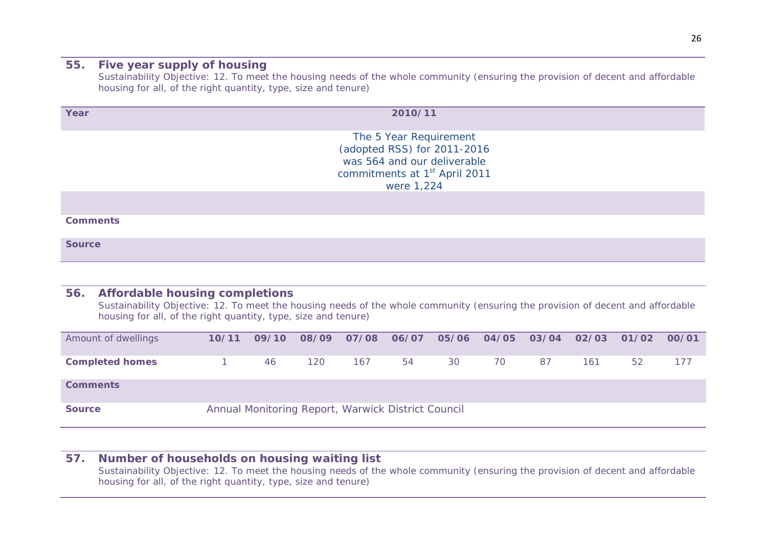### **55. Five year supply of housing**

*Sustainability Objective: 12. To meet the housing needs of the whole community (ensuring the provision of decent and affordable housing for all, of the right quantity, type, size and tenure)*

| Year            | 2010/11                                                                                                                                         |  |
|-----------------|-------------------------------------------------------------------------------------------------------------------------------------------------|--|
|                 | The 5 Year Requirement<br>(adopted RSS) for 2011-2016<br>was 564 and our deliverable<br>commitments at 1 <sup>st</sup> April 2011<br>were 1,224 |  |
|                 |                                                                                                                                                 |  |
| <b>Comments</b> |                                                                                                                                                 |  |
| <b>Source</b>   |                                                                                                                                                 |  |

### **56. Affordable housing completions**

*Sustainability Objective: 12. To meet the housing needs of the whole community (ensuring the provision of decent and affordable housing for all, of the right quantity, type, size and tenure)*

| Amount of dwellings    | 10/11                                              | 09/10 | 08/09 | 07/08 | 06/07 |    | 05/06 04/05 | 03/04 | 02/03 | 01/02 | 00/01 |  |  |
|------------------------|----------------------------------------------------|-------|-------|-------|-------|----|-------------|-------|-------|-------|-------|--|--|
| <b>Completed homes</b> |                                                    | 46    | 120   | 167   | 54    | 30 | 70          | 87    | 161   | 52    | 177   |  |  |
| <b>Comments</b>        |                                                    |       |       |       |       |    |             |       |       |       |       |  |  |
| <b>Source</b>          | Annual Monitoring Report, Warwick District Council |       |       |       |       |    |             |       |       |       |       |  |  |

#### **57. Number of households on housing waiting list**

*Sustainability Objective: 12. To meet the housing needs of the whole community (ensuring the provision of decent and affordable housing for all, of the right quantity, type, size and tenure)*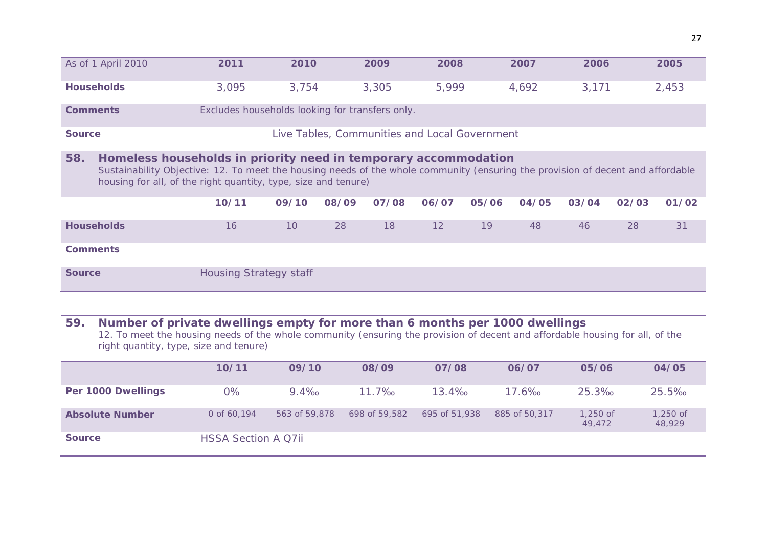|                   | As of 1 April 2010                                                                                                                                                                                                                                                   | 2011                                            | 2010  |       | 2009                                          | 2008  |       | 2007  | 2006  |       | 2005  |  |  |
|-------------------|----------------------------------------------------------------------------------------------------------------------------------------------------------------------------------------------------------------------------------------------------------------------|-------------------------------------------------|-------|-------|-----------------------------------------------|-------|-------|-------|-------|-------|-------|--|--|
| <b>Households</b> |                                                                                                                                                                                                                                                                      | 3,095                                           | 3,754 |       | 3,305                                         | 5,999 |       | 4,692 | 3,171 |       | 2,453 |  |  |
| <b>Comments</b>   |                                                                                                                                                                                                                                                                      | Excludes households looking for transfers only. |       |       |                                               |       |       |       |       |       |       |  |  |
| <b>Source</b>     |                                                                                                                                                                                                                                                                      |                                                 |       |       | Live Tables, Communities and Local Government |       |       |       |       |       |       |  |  |
| 58.               | Homeless households in priority need in temporary accommodation<br>Sustainability Objective: 12. To meet the housing needs of the whole community (ensuring the provision of decent and affordable<br>housing for all, of the right quantity, type, size and tenure) |                                                 |       |       |                                               |       |       |       |       |       |       |  |  |
|                   |                                                                                                                                                                                                                                                                      | 10/11                                           | 09/10 | 08/09 | 07/08                                         | 06/07 | 05/06 | 04/05 | 03/04 | 02/03 | 01/02 |  |  |
| <b>Households</b> |                                                                                                                                                                                                                                                                      | 16                                              | 10    | 28    | 18                                            | 12    | 19    | 48    | 46    | 28    | 31    |  |  |
| <b>Comments</b>   |                                                                                                                                                                                                                                                                      |                                                 |       |       |                                               |       |       |       |       |       |       |  |  |
| <b>Source</b>     | <b>Housing Strategy staff</b>                                                                                                                                                                                                                                        |                                                 |       |       |                                               |       |       |       |       |       |       |  |  |

# **59. Number of private dwellings empty for more than 6 months per 1000 dwellings**

*12. To meet the housing needs of the whole community (ensuring the provision of decent and affordable housing for all, of the right quantity, type, size and tenure)*

|                        | 10/11                      | 09/10         | 08/09         | 07/08         | 06/07         | 05/06                | 04/05                |
|------------------------|----------------------------|---------------|---------------|---------------|---------------|----------------------|----------------------|
| Per 1000 Dwellings     | 0%                         | $9.4\%$       | $11.7\%$      | $13.4\%$      | $17.6\%$      | $25.3\%$             | 25.5%                |
| <b>Absolute Number</b> | 0 of 60,194                | 563 of 59,878 | 698 of 59.582 | 695 of 51,938 | 885 of 50,317 | $1,250$ of<br>49,472 | $1,250$ of<br>48,929 |
| <b>Source</b>          | <b>HSSA Section A Q7ii</b> |               |               |               |               |                      |                      |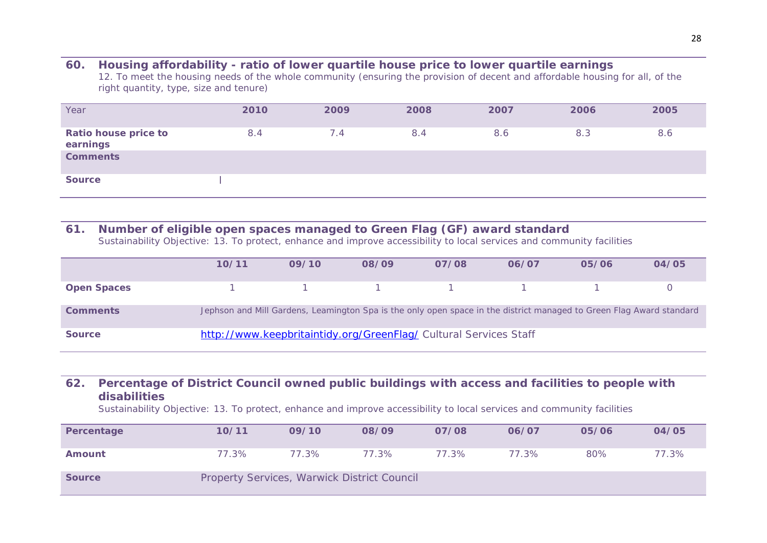#### **60. Housing affordability - ratio of lower quartile house price to lower quartile earnings**

*12. To meet the housing needs of the whole community (ensuring the provision of decent and affordable housing for all, of the right quantity, type, size and tenure)*

| Year                                    | 2010 | 2009 | 2008 | 2007 | 2006 | 2005 |
|-----------------------------------------|------|------|------|------|------|------|
| <b>Ratio house price to</b><br>earnings | 8.4  | 7.4  | 8.4  | 8.6  | 8.3  | 8.6  |
| <b>Comments</b>                         |      |      |      |      |      |      |
| <b>Source</b>                           |      |      |      |      |      |      |

### **61. Number of eligible open spaces managed to Green Flag (GF) award standard**

*Sustainability Objective: 13. To protect, enhance and improve accessibility to local services and community facilities*

|                    | 10/11                                                             | 09/10 | 08/09                                   | 07/08 | 06/07 | 05/06                                                                                                                | 04/05 |  |  |  |
|--------------------|-------------------------------------------------------------------|-------|-----------------------------------------|-------|-------|----------------------------------------------------------------------------------------------------------------------|-------|--|--|--|
| <b>Open Spaces</b> |                                                                   |       | $1 \qquad 1 \qquad 1 \qquad 1 \qquad 1$ |       |       |                                                                                                                      |       |  |  |  |
| <b>Comments</b>    |                                                                   |       |                                         |       |       | Jephson and Mill Gardens, Leamington Spa is the only open space in the district managed to Green Flag Award standard |       |  |  |  |
| <b>Source</b>      | http://www.keepbritaintidy.org/GreenFlag/ Cultural Services Staff |       |                                         |       |       |                                                                                                                      |       |  |  |  |

### **62. Percentage of District Council owned public buildings with access and facilities to people with disabilities**

*Sustainability Objective: 13. To protect, enhance and improve accessibility to local services and community facilities*

| Percentage    | 10/11                                       | 09/10 | 08/09 | 07/08 | 06/07 | 05/06 | 04/05 |
|---------------|---------------------------------------------|-------|-------|-------|-------|-------|-------|
| Amount        | 77.3%                                       | 77.3% | 77.3% | 77.3% | 77.3% | 80%   | 77.3% |
| <b>Source</b> | Property Services, Warwick District Council |       |       |       |       |       |       |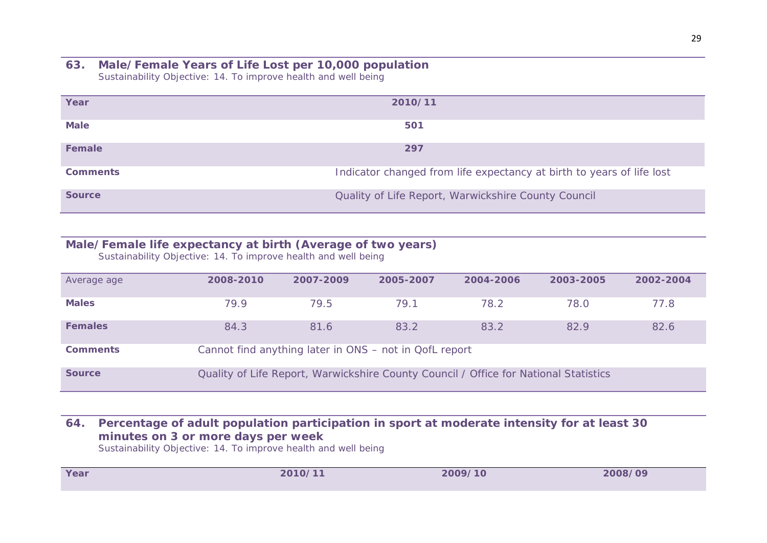#### **63. Male/Female Years of Life Lost per 10,000 population** *Sustainability Objective: 14. To improve health and well being*

| Year            | 2010/11                                                               |
|-----------------|-----------------------------------------------------------------------|
| <b>Male</b>     | 501                                                                   |
| <b>Female</b>   | 297                                                                   |
| <b>Comments</b> | Indicator changed from life expectancy at birth to years of life lost |
| <b>Source</b>   | Quality of Life Report, Warwickshire County Council                   |

# **Male/Female life expectancy at birth (Average of two years)**

*Sustainability Objective: 14. To improve health and well being*

| Average age     | 2008-2010                                              | 2007-2009 | 2005-2007 | 2004-2006                                                                            | 2003-2005 | 2002-2004 |  |  |
|-----------------|--------------------------------------------------------|-----------|-----------|--------------------------------------------------------------------------------------|-----------|-----------|--|--|
| <b>Males</b>    | 79.9                                                   | 79.5      | 79.1      | 78.2                                                                                 | 78.0      | 77.8      |  |  |
| <b>Females</b>  | 84.3                                                   | 81.6      | 83.2      | 83.2                                                                                 | 82.9      | 82.6      |  |  |
| <b>Comments</b> | Cannot find anything later in ONS - not in QofL report |           |           |                                                                                      |           |           |  |  |
| <b>Source</b>   |                                                        |           |           | Quality of Life Report, Warwickshire County Council / Office for National Statistics |           |           |  |  |

### **64. Percentage of adult population participation in sport at moderate intensity for at least 30 minutes on 3 or more days per week**

*Sustainability Objective: 14. To improve health and well being*

| Year | 2010/11 | 2009/10 | 2008/09 |
|------|---------|---------|---------|
|      |         |         |         |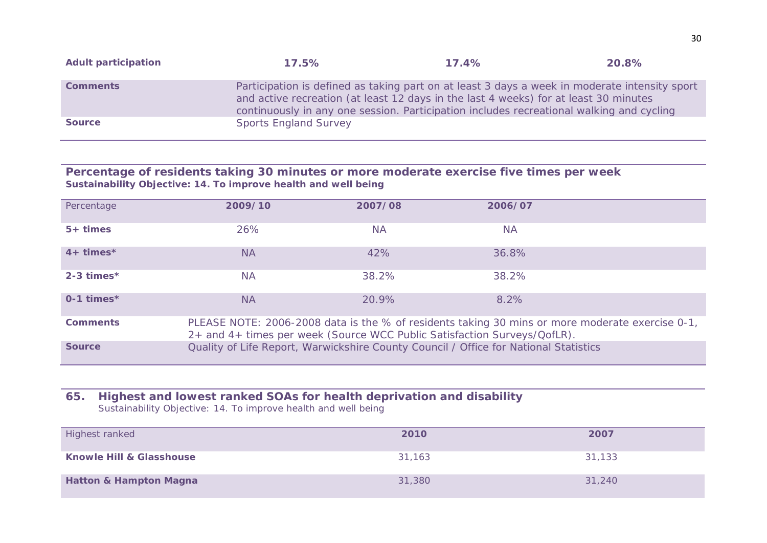| <b>Adult participation</b> | 17.5%                                                                                                                                                                                                                                                                             | 17.4% | 20.8% |
|----------------------------|-----------------------------------------------------------------------------------------------------------------------------------------------------------------------------------------------------------------------------------------------------------------------------------|-------|-------|
| <b>Comments</b>            | Participation is defined as taking part on at least 3 days a week in moderate intensity sport<br>and active recreation (at least 12 days in the last 4 weeks) for at least 30 minutes<br>continuously in any one session. Participation includes recreational walking and cycling |       |       |
| <b>Source</b>              | <b>Sports England Survey</b>                                                                                                                                                                                                                                                      |       |       |

#### **Percentage of residents taking 30 minutes or more moderate exercise five times per week** *Sustainability Objective: 14. To improve health and well being*

| Percentage      | 2009/10                                                                                                                                                                     | 2007/08   | 2006/07                                                                              |  |  |  |
|-----------------|-----------------------------------------------------------------------------------------------------------------------------------------------------------------------------|-----------|--------------------------------------------------------------------------------------|--|--|--|
| $5+ times$      | 26%                                                                                                                                                                         | <b>NA</b> | <b>NA</b>                                                                            |  |  |  |
| $4+ times*$     | <b>NA</b>                                                                                                                                                                   | 42%       | 36.8%                                                                                |  |  |  |
| $2-3$ times*    | <b>NA</b>                                                                                                                                                                   | 38.2%     | 38.2%                                                                                |  |  |  |
| $0-1$ times*    | <b>NA</b>                                                                                                                                                                   | 20.9%     | 8.2%                                                                                 |  |  |  |
| <b>Comments</b> | PLEASE NOTE: 2006-2008 data is the % of residents taking 30 mins or more moderate exercise 0-1,<br>2+ and 4+ times per week (Source WCC Public Satisfaction Surveys/QofLR). |           |                                                                                      |  |  |  |
| <b>Source</b>   |                                                                                                                                                                             |           | Quality of Life Report, Warwickshire County Council / Office for National Statistics |  |  |  |

### **65. Highest and lowest ranked SOAs for health deprivation and disability** *Sustainability Objective: 14. To improve health and well being*

| Highest ranked                      | 2010   | 2007   |
|-------------------------------------|--------|--------|
| <b>Knowle Hill &amp; Glasshouse</b> | 31.163 | 31,133 |
| <b>Hatton &amp; Hampton Magna</b>   | 31,380 | 31,240 |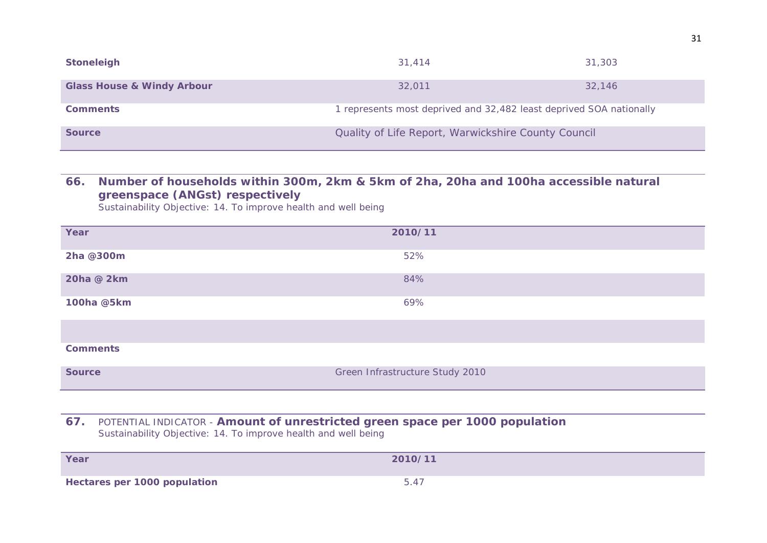| <b>Stoneleigh</b>                     | 31,414                                                              | 31,303 |
|---------------------------------------|---------------------------------------------------------------------|--------|
| <b>Glass House &amp; Windy Arbour</b> | 32.011                                                              | 32,146 |
| <b>Comments</b>                       | 1 represents most deprived and 32,482 least deprived SOA nationally |        |
| <b>Source</b>                         | Quality of Life Report, Warwickshire County Council                 |        |

### **66. Number of households within 300m, 2km & 5km of 2ha, 20ha and 100ha accessible natural greenspace (ANGst) respectively**

*Sustainability Objective: 14. To improve health and well being*

| Year            | 2010/11                         |  |
|-----------------|---------------------------------|--|
| 2ha @300m       | 52%                             |  |
| 20ha @ 2km      | 84%                             |  |
| 100ha @5km      | 69%                             |  |
|                 |                                 |  |
| <b>Comments</b> |                                 |  |
| <b>Source</b>   | Green Infrastructure Study 2010 |  |

#### **67.** *POTENTIAL INDICATOR -* **Amount of unrestricted green space per 1000 population** *Sustainability Objective: 14. To improve health and well being*

| Year                                | 2010/11   |
|-------------------------------------|-----------|
| <b>Hectares per 1000 population</b> | $F A^{-}$ |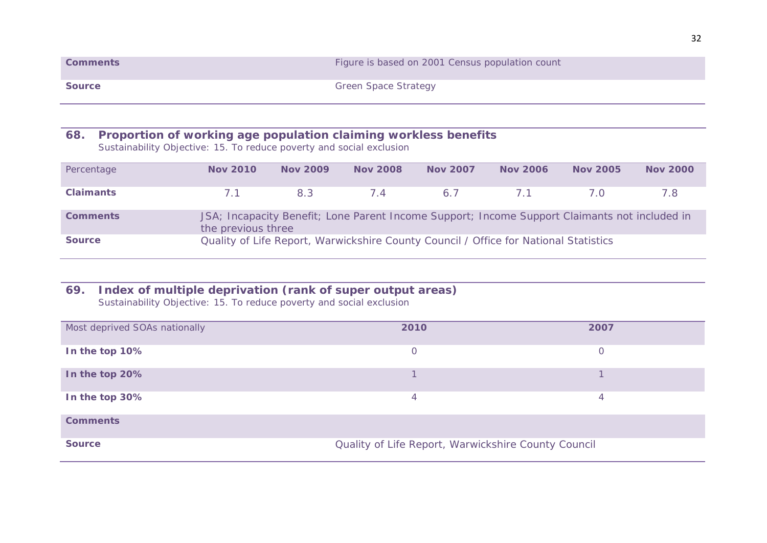| <b>Comments</b> | Figure is based on 2001 Census population count |
|-----------------|-------------------------------------------------|
| <b>Source</b>   | <b>Green Space Strategy</b>                     |

# **68. Proportion of working age population claiming workless benefits**

*Sustainability Objective: 15. To reduce poverty and social exclusion*

| Percentage       | <b>Nov 2010</b>    | <b>Nov 2009</b> | <b>Nov 2008</b> | <b>Nov 2007</b>                                                                               | <b>Nov 2006</b> | <b>Nov 2005</b> | <b>Nov 2000</b> |
|------------------|--------------------|-----------------|-----------------|-----------------------------------------------------------------------------------------------|-----------------|-----------------|-----------------|
| <b>Claimants</b> | 7.1                | 83 <sup>3</sup> | 74              | 6.7                                                                                           | 7.1             | 7.O             | 7.8             |
| <b>Comments</b>  | the previous three |                 |                 | JSA; Incapacity Benefit; Lone Parent Income Support; Income Support Claimants not included in |                 |                 |                 |
| <b>Source</b>    |                    |                 |                 | Quality of Life Report, Warwickshire County Council / Office for National Statistics          |                 |                 |                 |

### **69. Index of multiple deprivation (rank of super output areas)** *Sustainability Objective: 15. To reduce poverty and social exclusion*

| Most deprived SOAs nationally | 2010                                                | 2007     |
|-------------------------------|-----------------------------------------------------|----------|
| In the top 10%                | 0                                                   | $\Omega$ |
| In the top 20%                |                                                     |          |
| In the top 30%                | 4                                                   | 4        |
| <b>Comments</b>               |                                                     |          |
| <b>Source</b>                 | Quality of Life Report, Warwickshire County Council |          |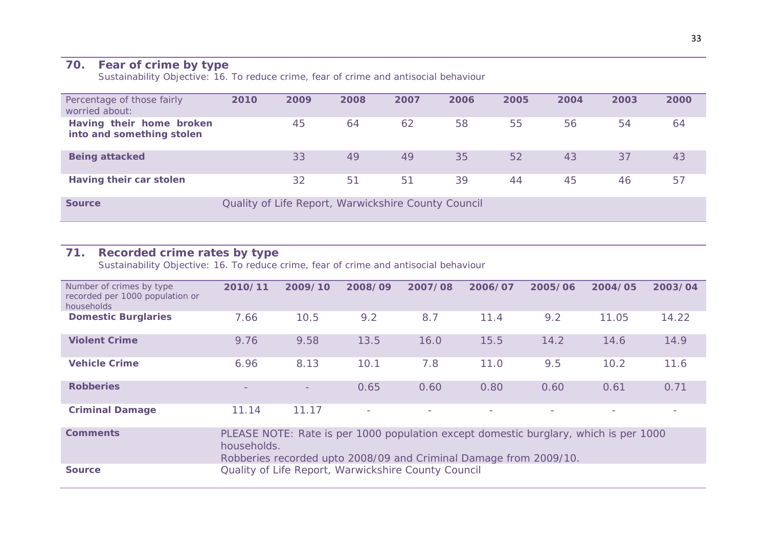### **70. Fear of crime by type**

*Sustainability Objective: 16. To reduce crime, fear of crime and antisocial behaviour*

| Percentage of those fairly<br>worried about:          | 2010 | 2009 | 2008 | 2007                                                | 2006 | 2005 | 2004 | 2003 | 2000 |
|-------------------------------------------------------|------|------|------|-----------------------------------------------------|------|------|------|------|------|
| Having their home broken<br>into and something stolen |      | 45   | 64   | 62                                                  | 58   | 55   | 56   | 54   | 64   |
| <b>Being attacked</b>                                 |      | 33   | 49   | 49                                                  | 35   | 52   | 43   | 37   | 43   |
| Having their car stolen                               |      | 32   | 51   | 51                                                  | 39   | 44   | 45   | 46   | 57   |
| <b>Source</b>                                         |      |      |      | Quality of Life Report, Warwickshire County Council |      |      |      |      |      |

#### **71. Recorded crime rates by type**

*Sustainability Objective: 16. To reduce crime, fear of crime and antisocial behaviour*

| Number of crimes by type<br>recorded per 1000 population or<br>households | 2010/11                  | 2009/10                  | 2008/09                  | 2007/08                  | 2006/07                                                                              | 2005/06 | 2004/05 | 2003/04 |
|---------------------------------------------------------------------------|--------------------------|--------------------------|--------------------------|--------------------------|--------------------------------------------------------------------------------------|---------|---------|---------|
| <b>Domestic Burglaries</b>                                                | 7.66                     | 10.5                     | 9.2                      | 8.7                      | 11.4                                                                                 | 9.2     | 11.05   | 14.22   |
| <b>Violent Crime</b>                                                      | 9.76                     | 9.58                     | 13.5                     | 16.0                     | 15.5                                                                                 | 14.2    | 14.6    | 14.9    |
| <b>Vehicle Crime</b>                                                      | 6.96                     | 8.13                     | 10.1                     | 7.8                      | 11.0                                                                                 | 9.5     | 10.2    | 11.6    |
| <b>Robberies</b>                                                          | $\overline{\phantom{0}}$ | $\overline{\phantom{a}}$ | 0.65                     | 0.60                     | 0.80                                                                                 | 0.60    | 0.61    | 0.71    |
| <b>Criminal Damage</b>                                                    | 11.14                    | 11.17                    | $\overline{\phantom{a}}$ | $\overline{\phantom{a}}$ | -                                                                                    | -       | $\sim$  | -       |
| <b>Comments</b>                                                           | households.              |                          |                          |                          | PLEASE NOTE: Rate is per 1000 population except domestic burglary, which is per 1000 |         |         |         |

Robberies recorded upto 2008/09 and Criminal Damage from 2009/10.

**Source COULTERED COULTERED COUNTER** Quality of Life Report, Warwickshire County Council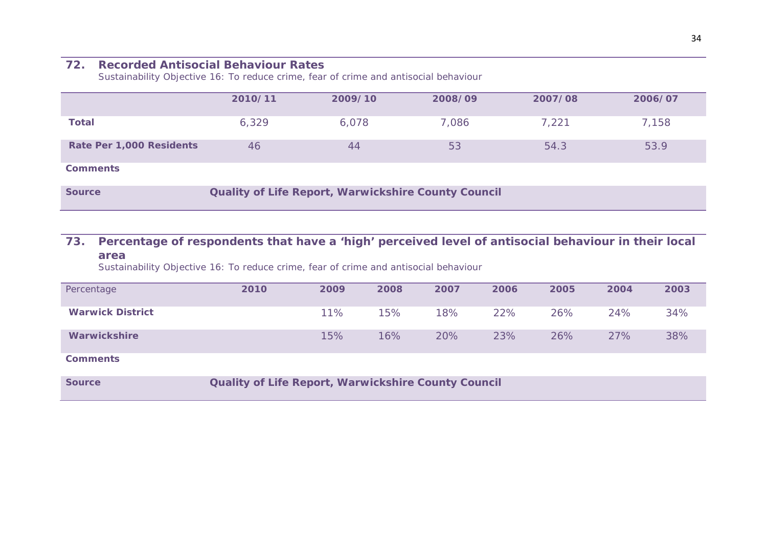### **72. Recorded Antisocial Behaviour Rates**

*Sustainability Objective 16: To reduce crime, fear of crime and antisocial behaviour*

|                          | 2010/11                                             | 2009/10 | 2008/09 | 2007/08 | 2006/07 |  |  |
|--------------------------|-----------------------------------------------------|---------|---------|---------|---------|--|--|
| <b>Total</b>             | 6,329                                               | 6,078   | 7,086   | 7,221   | 7,158   |  |  |
| Rate Per 1,000 Residents | 46                                                  | 44      | 53      | 54.3    | 53.9    |  |  |
| <b>Comments</b>          |                                                     |         |         |         |         |  |  |
| <b>Source</b>            | Quality of Life Report, Warwickshire County Council |         |         |         |         |  |  |

# **73. Percentage of respondents that have a 'high' perceived level of antisocial behaviour in their local area**

*Sustainability Objective 16: To reduce crime, fear of crime and antisocial behaviour*

| Percentage              | 2010 | 2009 | 2008 | 2007 | 2006 | 2005 | 2004 | 2003 |
|-------------------------|------|------|------|------|------|------|------|------|
| <b>Warwick District</b> |      | 11%  | 15%  | 18%  | 22%  | 26%  | 24%  | 34%  |
| <b>Warwickshire</b>     |      | 15%  | 16%  | 20%  | 23%  | 26%  | 27%  | 38%  |

**Comments**

**Source County Council County Council** County Council Council Council Council Council Council Council Council Council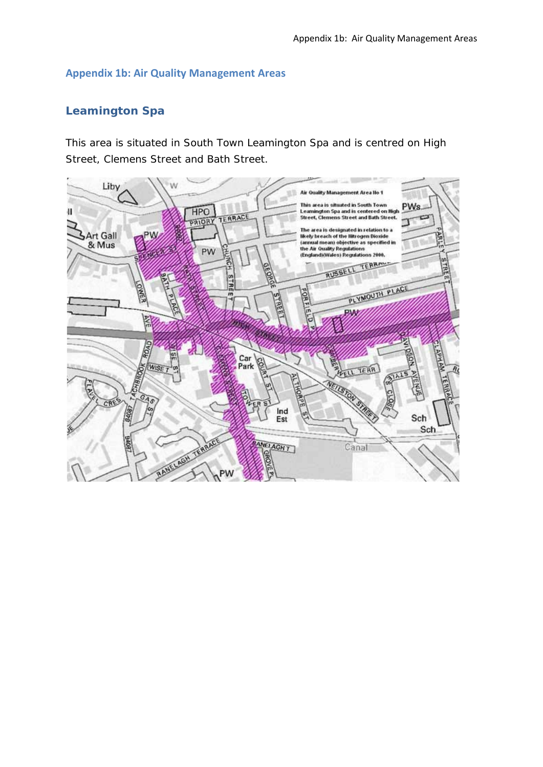### **Appendix 1b: Air Quality Management Areas**

# **Leamington Spa**

This area is situated in South Town Leamington Spa and is centred on High Street, Clemens Street and Bath Street.

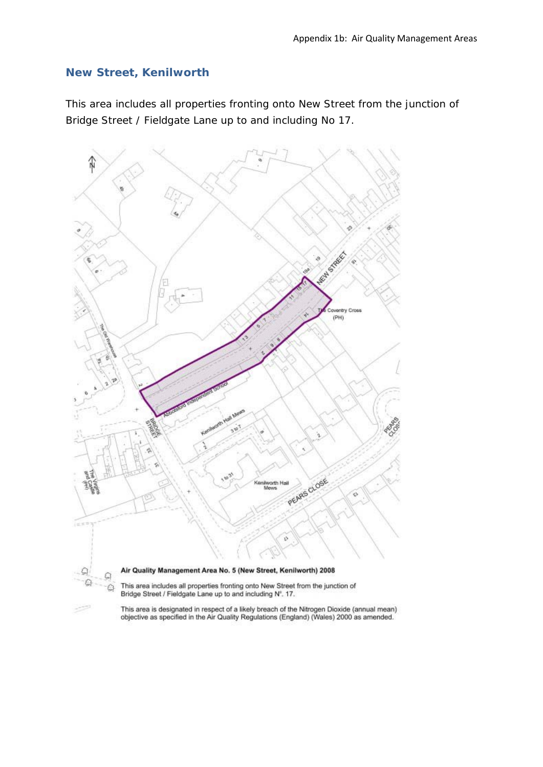## **New Street, Kenilworth**

This area includes all properties fronting onto New Street from the junction of Bridge Street / Fieldgate Lane up to and including No 17.



This area is designated in respect of a likely breach of the Nitrogen Dioxide (annual mean)<br>objective as specified in the Air Quality Regulations (England) (Wales) 2000 as amended.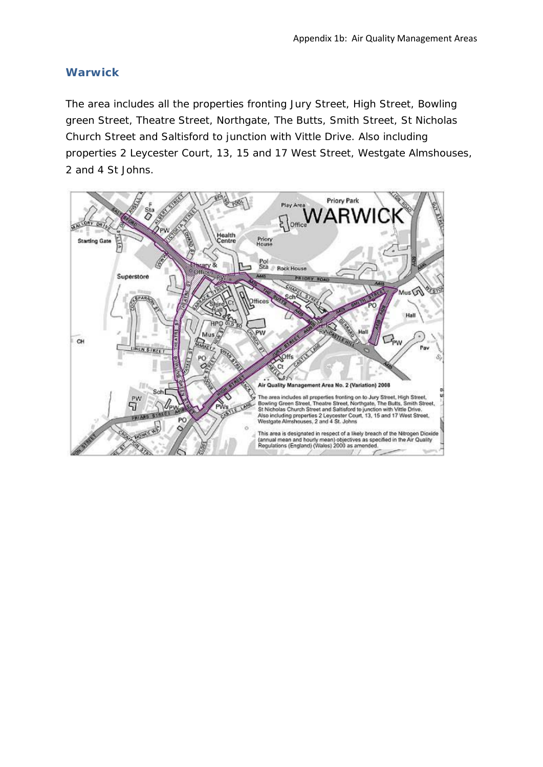### **Warwick**

The area includes all the properties fronting Jury Street, High Street, Bowling green Street, Theatre Street, Northgate, The Butts, Smith Street, St Nicholas Church Street and Saltisford to junction with Vittle Drive. Also including properties 2 Leycester Court, 13, 15 and 17 West Street, Westgate Almshouses, 2 and 4 St Johns.